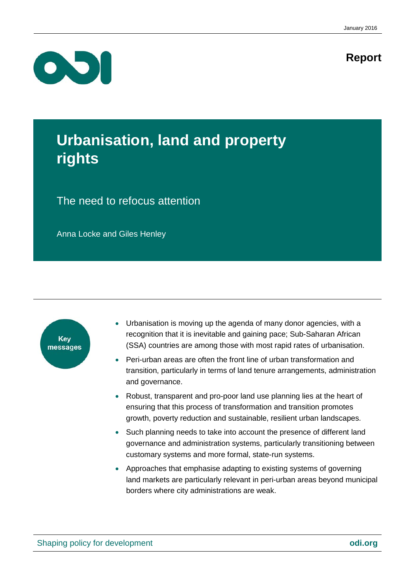## **Report**



## **Urbanisation, land and property rights**

## The need to refocus attention

Anna Locke and Giles Henley



- Urbanisation is moving up the agenda of many donor agencies, with a recognition that it is inevitable and gaining pace; Sub-Saharan African (SSA) countries are among those with most rapid rates of urbanisation.
- Peri-urban areas are often the front line of urban transformation and transition, particularly in terms of land tenure arrangements, administration and governance.
- Robust, transparent and pro-poor land use planning lies at the heart of ensuring that this process of transformation and transition promotes growth, poverty reduction and sustainable, resilient urban landscapes.
- Such planning needs to take into account the presence of different land governance and administration systems, particularly transitioning between customary systems and more formal, state-run systems.
- Approaches that emphasise adapting to existing systems of governing land markets are particularly relevant in peri-urban areas beyond municipal borders where city administrations are weak.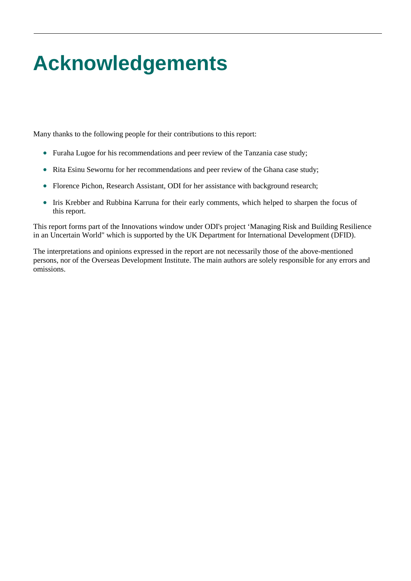# <span id="page-1-0"></span>**Acknowledgements**

Many thanks to the following people for their contributions to this report:

- Furaha Lugoe for his recommendations and peer review of the Tanzania case study;
- Rita Esinu Sewornu for her recommendations and peer review of the Ghana case study;
- Florence Pichon, Research Assistant, ODI for her assistance with background research;
- Iris Krebber and Rubbina Karruna for their early comments, which helped to sharpen the focus of this report.

This report forms part of the Innovations window under ODI's project 'Managing Risk and Building Resilience in an Uncertain World" which is supported by the UK Department for International Development (DFID).

The interpretations and opinions expressed in the report are not necessarily those of the above-mentioned persons, nor of the Overseas Development Institute. The main authors are solely responsible for any errors and omissions.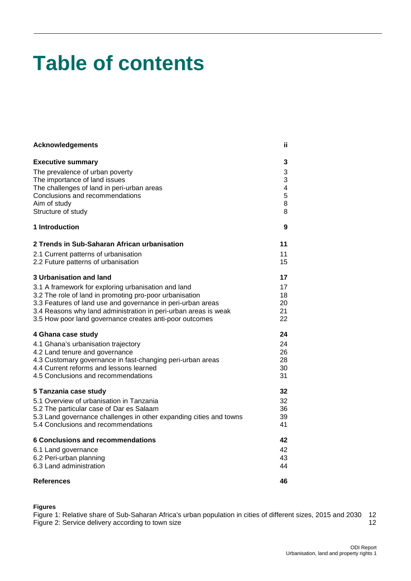## **Table of contents**

| <b>Acknowledgements</b>                                            | ii. |
|--------------------------------------------------------------------|-----|
| <b>Executive summary</b>                                           | 3   |
| The prevalence of urban poverty                                    | 3   |
| The importance of land issues                                      | 3   |
| The challenges of land in peri-urban areas                         | 4   |
| Conclusions and recommendations                                    | 5   |
| Aim of study                                                       | 8   |
| Structure of study                                                 | 8   |
| 1 Introduction                                                     | 9   |
| 2 Trends in Sub-Saharan African urbanisation                       | 11  |
| 2.1 Current patterns of urbanisation                               | 11  |
| 2.2 Future patterns of urbanisation                                | 15  |
| 3 Urbanisation and land                                            | 17  |
| 3.1 A framework for exploring urbanisation and land                | 17  |
| 3.2 The role of land in promoting pro-poor urbanisation            | 18  |
| 3.3 Features of land use and governance in peri-urban areas        | 20  |
| 3.4 Reasons why land administration in peri-urban areas is weak    | 21  |
| 3.5 How poor land governance creates anti-poor outcomes            | 22  |
| 4 Ghana case study                                                 | 24  |
| 4.1 Ghana's urbanisation trajectory                                | 24  |
| 4.2 Land tenure and governance                                     | 26  |
| 4.3 Customary governance in fast-changing peri-urban areas         | 28  |
| 4.4 Current reforms and lessons learned                            | 30  |
| 4.5 Conclusions and recommendations                                | 31  |
| 5 Tanzania case study                                              | 32  |
| 5.1 Overview of urbanisation in Tanzania                           | 32  |
| 5.2 The particular case of Dar es Salaam                           | 36  |
| 5.3 Land governance challenges in other expanding cities and towns | 39  |
| 5.4 Conclusions and recommendations                                | 41  |
| <b>6 Conclusions and recommendations</b>                           | 42  |
| 6.1 Land governance                                                | 42  |
| 6.2 Peri-urban planning                                            | 43  |
| 6.3 Land administration                                            | 44  |
| References                                                         | 46  |

#### **Figures**

Figure 1: [Relative share of Sub-Saharan Africa's urban population in cities of different sizes, 2015 and 2030](#page-13-0) 12 [Figure 2: Service delivery according to town size](#page-13-1) 12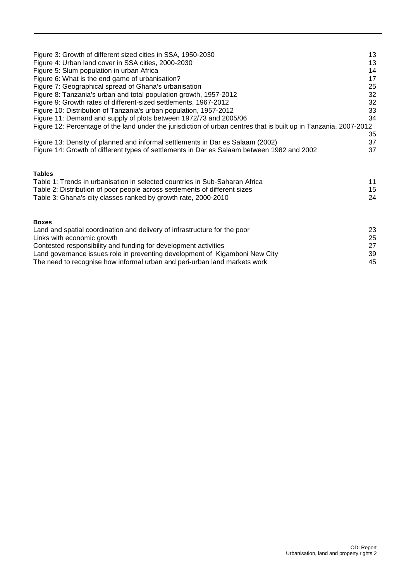| Figure 3: Growth of different sized cities in SSA, 1950-2030                                                      | 13 |
|-------------------------------------------------------------------------------------------------------------------|----|
| Figure 4: Urban land cover in SSA cities, 2000-2030                                                               | 13 |
| Figure 5: Slum population in urban Africa                                                                         | 14 |
| Figure 6: What is the end game of urbanisation?                                                                   | 17 |
| Figure 7: Geographical spread of Ghana's urbanisation                                                             | 25 |
| Figure 8: Tanzania's urban and total population growth, 1957-2012                                                 | 32 |
| Figure 9: Growth rates of different-sized settlements, 1967-2012                                                  | 32 |
| Figure 10: Distribution of Tanzania's urban population, 1957-2012                                                 | 33 |
| Figure 11: Demand and supply of plots between 1972/73 and 2005/06                                                 | 34 |
| Figure 12: Percentage of the land under the jurisdiction of urban centres that is built up in Tanzania, 2007-2012 |    |
|                                                                                                                   | 35 |
| Figure 13: Density of planned and informal settlements in Dar es Salaam (2002)                                    | 37 |
| Figure 14: Growth of different types of settlements in Dar es Salaam between 1982 and 2002                        | 37 |
|                                                                                                                   |    |
| <b>Tables</b>                                                                                                     |    |
| Table 1: Trends in urbanisation in selected countries in Sub-Saharan Africa                                       | 11 |
| Table 2: Distribution of poor people across settlements of different sizes                                        | 15 |
| Table 3: Ghana's city classes ranked by growth rate, 2000-2010                                                    | 24 |
|                                                                                                                   |    |
| <b>Boxes</b>                                                                                                      |    |
| Land and spatial coordination and delivery of infrastructure for the poor                                         | 23 |
| Links with economic growth                                                                                        | 25 |
| Contested responsibility and funding for development activities                                                   | 27 |
| Land governance issues role in preventing development of Kigamboni New City                                       | 39 |
| The need to recognise how informal urban and peri-urban land markets work                                         | 45 |
|                                                                                                                   |    |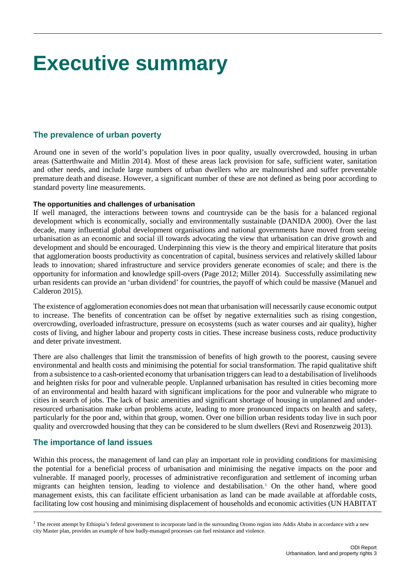## <span id="page-4-0"></span>**Executive summary**

## <span id="page-4-1"></span>**The prevalence of urban poverty**

Around one in seven of the world's population lives in poor quality, usually overcrowded, housing in urban areas (Satterthwaite and Mitlin 2014). Most of these areas lack provision for safe, sufficient water, sanitation and other needs, and include large numbers of urban dwellers who are malnourished and suffer preventable premature death and disease. However, a significant number of these are not defined as being poor according to standard poverty line measurements.

## **The opportunities and challenges of urbanisation**

If well managed, the interactions between towns and countryside can be the basis for a balanced regional development which is economically, socially and environmentally sustainable (DANIDA 2000). Over the last decade, many influential global development organisations and national governments have moved from seeing urbanisation as an economic and social ill towards advocating the view that urbanisation can drive growth and development and should be encouraged. Underpinning this view is the theory and empirical literature that posits that agglomeration boosts productivity as concentration of capital, business services and relatively skilled labour leads to innovation; shared infrastructure and service providers generate economies of scale; and there is the opportunity for information and knowledge spill-overs (Page 2012; Miller 2014). Successfully assimilating new urban residents can provide an 'urban dividend' for countries, the payoff of which could be massive (Manuel and Calderon 2015).

The existence of agglomeration economies does not mean that urbanisation will necessarily cause economic output to increase. The benefits of concentration can be offset by negative externalities such as rising congestion, overcrowding, overloaded infrastructure, pressure on ecosystems (such as water courses and air quality), higher costs of living, and higher labour and property costs in cities. These increase business costs, reduce productivity and deter private investment.

There are also challenges that limit the transmission of benefits of high growth to the poorest, causing severe environmental and health costs and minimising the potential for social transformation. The rapid qualitative shift from a subsistence to a cash-oriented economy that urbanisation triggers can lead to a destabilisation of livelihoods and heighten risks for poor and vulnerable people. Unplanned urbanisation has resulted in cities becoming more of an environmental and health hazard with significant implications for the poor and vulnerable who migrate to cities in search of jobs. The lack of basic amenities and significant shortage of housing in unplanned and underresourced urbanisation make urban problems acute, leading to more pronounced impacts on health and safety, particularly for the poor and, within that group, women. Over one billion urban residents today live in such poor quality and overcrowded housing that they can be considered to be slum dwellers (Revi and Rosenzweig 2013).

## <span id="page-4-2"></span>**The importance of land issues**

Within this process, the management of land can play an important role in providing conditions for maximising the potential for a beneficial process of urbanisation and minimising the negative impacts on the poor and vulnerable. If managed poorly, processes of administrative reconfiguration and settlement of incoming urban migrants can heighten tension, leading to violence and destabilisation.<sup>[1](#page-4-3)</sup> On the other hand, where good management exists, this can facilitate efficient urbanisation as land can be made available at affordable costs, facilitating low cost housing and minimising displacement of households and economic activities (UN HABITAT

<span id="page-4-3"></span> $<sup>1</sup>$  The recent attempt by Ethiopia's federal government to incorporate land in the surrounding Oromo region into Addis Ababa in accordance with a new</sup> city Master plan, provides an example of how badly-managed processes can fuel resistance and violence.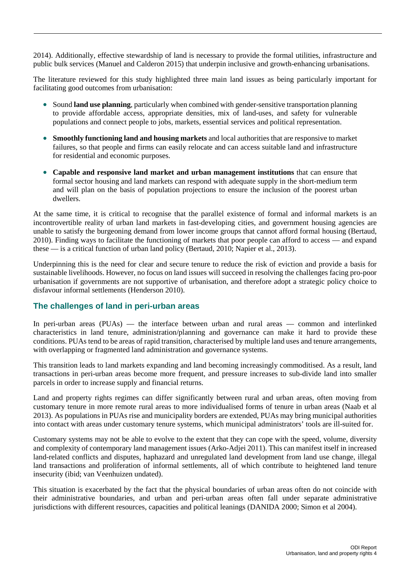2014). Additionally, effective stewardship of land is necessary to provide the formal utilities, infrastructure and public bulk services (Manuel and Calderon 2015) that underpin inclusive and growth-enhancing urbanisations.

The literature reviewed for this study highlighted three main land issues as being particularly important for facilitating good outcomes from urbanisation:

- Sound **land use planning**, particularly when combined with gender-sensitive transportation planning to provide affordable access, appropriate densities, mix of land-uses, and safety for vulnerable populations and connect people to jobs, markets, essential services and political representation.
- **Smoothly functioning land and housing markets** and local authorities that are responsive to market failures, so that people and firms can easily relocate and can access suitable land and infrastructure for residential and economic purposes.
- **Capable and responsive land market and urban management institutions** that can ensure that formal sector housing and land markets can respond with adequate supply in the short-medium term and will plan on the basis of population projections to ensure the inclusion of the poorest urban dwellers.

At the same time, it is critical to recognise that the parallel existence of formal and informal markets is an incontrovertible reality of urban land markets in fast-developing cities, and government housing agencies are unable to satisfy the burgeoning demand from lower income groups that cannot afford formal housing (Bertaud, 2010). Finding ways to facilitate the functioning of markets that poor people can afford to access — and expand these — is a critical function of urban land policy (Bertaud, 2010; Napier et al., 2013).

Underpinning this is the need for clear and secure tenure to reduce the risk of eviction and provide a basis for sustainable livelihoods. However, no focus on land issues will succeed in resolving the challenges facing pro-poor urbanisation if governments are not supportive of urbanisation, and therefore adopt a strategic policy choice to disfavour informal settlements (Henderson 2010).

## <span id="page-5-0"></span>**The challenges of land in peri-urban areas**

In peri-urban areas (PUAs) — the interface between urban and rural areas — common and interlinked characteristics in land tenure, administration/planning and governance can make it hard to provide these conditions. PUAs tend to be areas of rapid transition, characterised by multiple land uses and tenure arrangements, with overlapping or fragmented land administration and governance systems.

This transition leads to land markets expanding and land becoming increasingly commoditised. As a result, land transactions in peri-urban areas become more frequent, and pressure increases to sub-divide land into smaller parcels in order to increase supply and financial returns.

Land and property rights regimes can differ significantly between rural and urban areas, often moving from customary tenure in more remote rural areas to more individualised forms of tenure in urban areas [\(Naab](#page-49-0) et al [2013\)](#page-49-0). As populations in PUAs rise and municipality borders are extended, PUAs may bring municipal authorities into contact with areas under customary tenure systems, which municipal administrators' tools are ill-suited for.

Customary systems may not be able to evolve to the extent that they can cope with the speed, volume, diversity and complexity of contemporary land management issues (Arko-Adjei 2011). This can manifest itself in increased land-related conflicts and disputes, haphazard and unregulated land development from land use change, illegal land transactions and proliferation of informal settlements, all of which contribute to heightened land tenure insecurity (ibid; van Veenhuizen undated).

This situation is exacerbated by the fact that the physical boundaries of urban areas often do not coincide with their administrative boundaries, and urban and peri-urban areas often fall under separate administrative jurisdictions with different resources, capacities and political leanings (DANIDA 2000; [Simon](#page-50-0) et al 2004).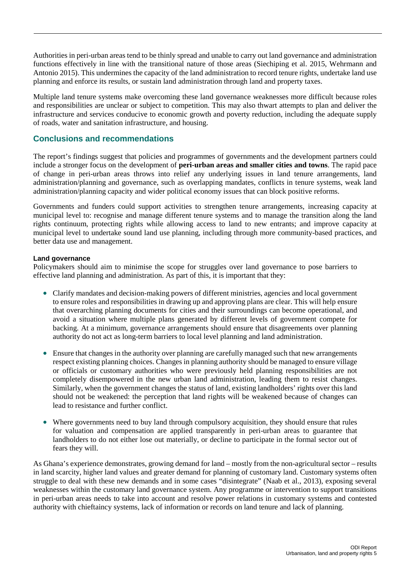Authorities in peri-urban areas tend to be thinly spread and unable to carry out land governance and administration functions effectively in line with the transitional nature of those areas (Siechiping et al. 2015, Wehrmann and Antonio 2015). This undermines the capacity of the land administration to record tenure rights, undertake land use planning and enforce its results, or sustain land administration through land and property taxes.

Multiple land tenure systems make overcoming these land governance weaknesses more difficult because roles and responsibilities are unclear or subject to competition. This may also thwart attempts to plan and deliver the infrastructure and services conducive to economic growth and poverty reduction, including the adequate supply of roads, water and sanitation infrastructure, and housing.

## <span id="page-6-0"></span>**Conclusions and recommendations**

The report's findings suggest that policies and programmes of governments and the development partners could include a stronger focus on the development of **peri-urban areas and smaller cities and towns**. The rapid pace of change in peri-urban areas throws into relief any underlying issues in land tenure arrangements, land administration/planning and governance, such as overlapping mandates, conflicts in tenure systems, weak land administration/planning capacity and wider political economy issues that can block positive reforms.

Governments and funders could support activities to strengthen tenure arrangements, increasing capacity at municipal level to: recognise and manage different tenure systems and to manage the transition along the land rights continuum, protecting rights while allowing access to land to new entrants; and improve capacity at municipal level to undertake sound land use planning, including through more community-based practices, and better data use and management.

## **Land governance**

Policymakers should aim to minimise the scope for struggles over land governance to pose barriers to effective land planning and administration. As part of this, it is important that they:

- Clarify mandates and decision-making powers of different ministries, agencies and local government to ensure roles and responsibilities in drawing up and approving plans are clear. This will help ensure that overarching planning documents for cities and their surroundings can become operational, and avoid a situation where multiple plans generated by different levels of government compete for backing. At a minimum, governance arrangements should ensure that disagreements over planning authority do not act as long-term barriers to local level planning and land administration.
- Ensure that changes in the authority over planning are carefully managed such that new arrangements respect existing planning choices. Changes in planning authority should be managed to ensure village or officials or customary authorities who were previously held planning responsibilities are not completely disempowered in the new urban land administration, leading them to resist changes. Similarly, when the government changes the status of land, existing landholders' rights over this land should not be weakened: the perception that land rights will be weakened because of changes can lead to resistance and further conflict.
- Where governments need to buy land through compulsory acquisition, they should ensure that rules for valuation and compensation are applied transparently in peri-urban areas to guarantee that landholders to do not either lose out materially, or decline to participate in the formal sector out of fears they will.

As Ghana's experience demonstrates, growing demand for land – mostly from the non-agricultural sector – results in land scarcity, higher land values and greater demand for planning of customary land. Customary systems often struggle to deal with these new demands and in some cases "disintegrate" (Naab et al., 2013), exposing several weaknesses within the customary land governance system. Any programme or intervention to support transitions in peri-urban areas needs to take into account and resolve power relations in customary systems and contested authority with chieftaincy systems, lack of information or records on land tenure and lack of planning.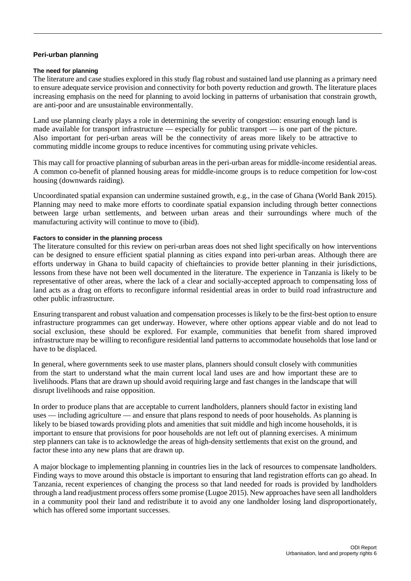#### **Peri-urban planning**

#### **The need for planning**

The literature and case studies explored in this study flag robust and sustained land use planning as a primary need to ensure adequate service provision and connectivity for both poverty reduction and growth. The literature places increasing emphasis on the need for planning to avoid locking in patterns of urbanisation that constrain growth, are anti-poor and are unsustainable environmentally.

Land use planning clearly plays a role in determining the severity of congestion: ensuring enough land is made available for transport infrastructure — especially for public transport — is one part of the picture. Also important for peri-urban areas will be the connectivity of areas more likely to be attractive to commuting middle income groups to reduce incentives for commuting using private vehicles.

This may call for proactive planning of suburban areas in the peri-urban areas for middle-income residential areas. A common co-benefit of planned housing areas for middle-income groups is to reduce competition for low-cost housing (downwards raiding).

Uncoordinated spatial expansion can undermine sustained growth, e.g., in the case of Ghana (World Bank 2015). Planning may need to make more efforts to coordinate spatial expansion including through better connections between large urban settlements, and between urban areas and their surroundings where much of the manufacturing activity will continue to move to (ibid).

#### **Factors to consider in the planning process**

The literature consulted for this review on peri-urban areas does not shed light specifically on how interventions can be designed to ensure efficient spatial planning as cities expand into peri-urban areas. Although there are efforts underway in Ghana to build capacity of chieftaincies to provide better planning in their jurisdictions, lessons from these have not been well documented in the literature. The experience in Tanzania is likely to be representative of other areas, where the lack of a clear and socially-accepted approach to compensating loss of land acts as a drag on efforts to reconfigure informal residential areas in order to build road infrastructure and other public infrastructure.

Ensuring transparent and robust valuation and compensation processes is likely to be the first-best option to ensure infrastructure programmes can get underway. However, where other options appear viable and do not lead to social exclusion, these should be explored. For example, communities that benefit from shared improved infrastructure may be willing to reconfigure residential land patterns to accommodate households that lose land or have to be displaced.

In general, where governments seek to use master plans, planners should consult closely with communities from the start to understand what the main current local land uses are and how important these are to livelihoods. Plans that are drawn up should avoid requiring large and fast changes in the landscape that will disrupt livelihoods and raise opposition.

In order to produce plans that are acceptable to current landholders, planners should factor in existing land uses — including agriculture — and ensure that plans respond to needs of poor households. As planning is likely to be biased towards providing plots and amenities that suit middle and high income households, it is important to ensure that provisions for poor households are not left out of planning exercises. A minimum step planners can take is to acknowledge the areas of high-density settlements that exist on the ground, and factor these into any new plans that are drawn up.

A major blockage to implementing planning in countries lies in the lack of resources to compensate landholders. Finding ways to move around this obstacle is important to ensuring that land registration efforts can go ahead. In Tanzania, recent experiences of changing the process so that land needed for roads is provided by landholders through a land readjustment process offers some promise (Lugoe 2015). New approaches have seen all landholders in a community pool their land and redistribute it to avoid any one landholder losing land disproportionately, which has offered some important successes.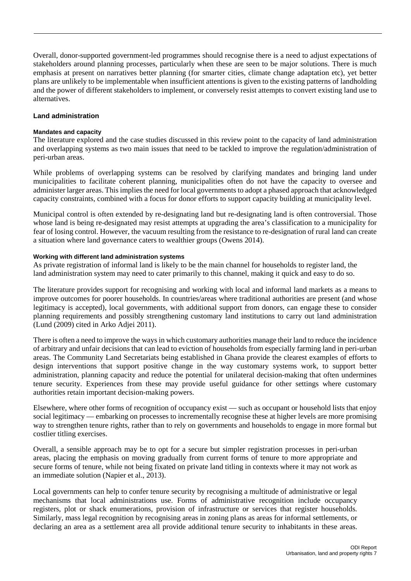Overall, donor-supported government-led programmes should recognise there is a need to adjust expectations of stakeholders around planning processes, particularly when these are seen to be major solutions. There is much emphasis at present on narratives better planning (for smarter cities, climate change adaptation etc), yet better plans are unlikely to be implementable when insufficient attentions is given to the existing patterns of landholding and the power of different stakeholders to implement, or conversely resist attempts to convert existing land use to alternatives.

### **Land administration**

#### **Mandates and capacity**

The literature explored and the case studies discussed in this review point to the capacity of land administration and overlapping systems as two main issues that need to be tackled to improve the regulation/administration of peri-urban areas.

While problems of overlapping systems can be resolved by clarifying mandates and bringing land under municipalities to facilitate coherent planning, municipalities often do not have the capacity to oversee and administer larger areas. This implies the need for local governments to adopt a phased approach that acknowledged capacity constraints, combined with a focus for donor efforts to support capacity building at municipality level.

Municipal control is often extended by re-designating land but re-designating land is often controversial. Those whose land is being re-designated may resist attempts at upgrading the area's classification to a municipality for fear of losing control. However, the vacuum resulting from the resistance to re-designation of rural land can create a situation where land governance caters to wealthier groups (Owens 2014).

#### **Working with different land administration systems**

As private registration of informal land is likely to be the main channel for households to register land, the land administration system may need to cater primarily to this channel, making it quick and easy to do so.

The literature provides support for recognising and working with local and informal land markets as a means to improve outcomes for poorer households. In countries/areas where traditional authorities are present (and whose legitimacy is accepted), local governments, with additional support from donors, can engage these to consider planning requirements and possibly strengthening customary land institutions to carry out land administration (Lund (2009) cited in Arko Adjei 2011).

There is often a need to improve the ways in which customary authorities manage their land to reduce the incidence of arbitrary and unfair decisions that can lead to eviction of households from especially farming land in peri-urban areas. The Community Land Secretariats being established in Ghana provide the clearest examples of efforts to design interventions that support positive change in the way customary systems work, to support better administration, planning capacity and reduce the potential for unilateral decision-making that often undermines tenure security. Experiences from these may provide useful guidance for other settings where customary authorities retain important decision-making powers.

Elsewhere, where other forms of recognition of occupancy exist — such as occupant or household lists that enjoy social legitimacy — embarking on processes to incrementally recognise these at higher levels are more promising way to strengthen tenure rights, rather than to rely on governments and households to engage in more formal but costlier titling exercises.

Overall, a sensible approach may be to opt for a secure but simpler registration processes in peri-urban areas, placing the emphasis on moving gradually from current forms of tenure to more appropriate and secure forms of tenure, while not being fixated on private land titling in contexts where it may not work as an immediate solution [\(Napier et al., 2013\)](#page-49-1).

Local governments can help to confer tenure security by recognising a multitude of administrative or legal mechanisms that local administrations use. Forms of administrative recognition include occupancy registers, plot or shack enumerations, provision of infrastructure or services that register households. Similarly, mass legal recognition by recognising areas in zoning plans as areas for informal settlements, or declaring an area as a settlement area all provide additional tenure security to inhabitants in these areas.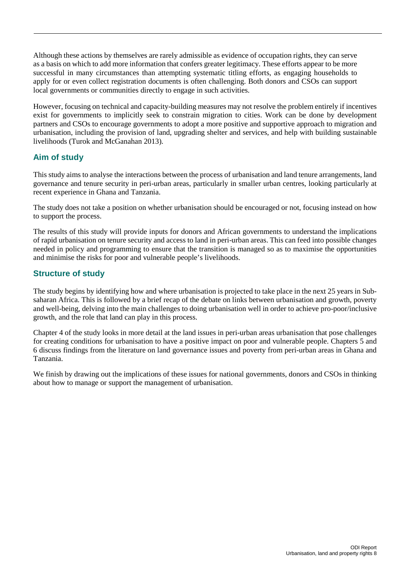Although these actions by themselves are rarely admissible as evidence of occupation rights, they can serve as a basis on which to add more information that confers greater legitimacy. These efforts appear to be more successful in many circumstances than attempting systematic titling efforts, as engaging households to apply for or even collect registration documents is often challenging. Both donors and CSOs can support local governments or communities directly to engage in such activities.

However, focusing on technical and capacity-building measures may not resolve the problem entirely if incentives exist for governments to implicitly seek to constrain migration to cities. Work can be done by development partners and CSOs to encourage governments to adopt a more positive and supportive approach to migration and urbanisation, including the provision of land, upgrading shelter and services, and help with building sustainable livelihoods (Turok and McGanahan 2013).

## <span id="page-9-0"></span>**Aim of study**

This study aims to analyse the interactions between the process of urbanisation and land tenure arrangements, land governance and tenure security in peri-urban areas, particularly in smaller urban centres, looking particularly at recent experience in Ghana and Tanzania.

The study does not take a position on whether urbanisation should be encouraged or not, focusing instead on how to support the process.

The results of this study will provide inputs for donors and African governments to understand the implications of rapid urbanisation on tenure security and access to land in peri-urban areas. This can feed into possible changes needed in policy and programming to ensure that the transition is managed so as to maximise the opportunities and minimise the risks for poor and vulnerable people's livelihoods.

## <span id="page-9-1"></span>**Structure of study**

The study begins by identifying how and where urbanisation is projected to take place in the next 25 years in Subsaharan Africa. This is followed by a brief recap of the debate on links between urbanisation and growth, poverty and well-being, delving into the main challenges to doing urbanisation well in order to achieve pro-poor/inclusive growth, and the role that land can play in this process.

Chapter 4 of the study looks in more detail at the land issues in peri-urban areas urbanisation that pose challenges for creating conditions for urbanisation to have a positive impact on poor and vulnerable people. Chapters 5 and 6 discuss findings from the literature on land governance issues and poverty from peri-urban areas in Ghana and Tanzania.

We finish by drawing out the implications of these issues for national governments, donors and CSOs in thinking about how to manage or support the management of urbanisation.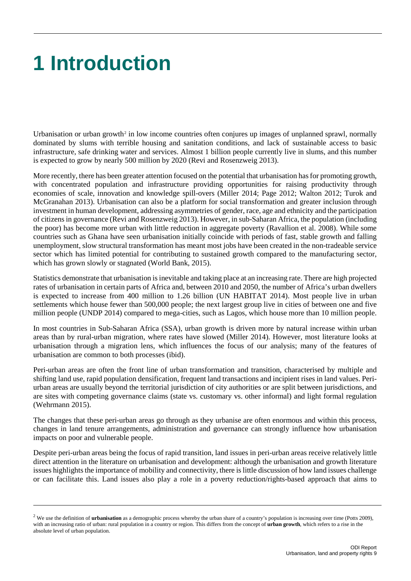# <span id="page-10-0"></span>**1 Introduction**

Urbanisation or urban growth<sup>[2](#page-10-1)</sup> in low income countries often conjures up images of unplanned sprawl, normally dominated by slums with terrible housing and sanitation conditions, and lack of sustainable access to basic infrastructure, safe drinking water and services. Almost 1 billion people currently live in slums, and this number is expected to grow by nearly 500 million by 2020 (Revi and Rosenzweig 2013).

More recently, there has been greater attention focused on the potential that urbanisation has for promoting growth, with concentrated population and infrastructure providing opportunities for raising productivity through economies of scale, innovation and knowledge spill-overs (Miller 2014; Page 2012; Walton 2012; Turok and McGranahan 2013). Urbanisation can also be a platform for social transformation and greater inclusion through investment in human development, addressing asymmetries of gender, race, age and ethnicity and the participation of citizens in governance (Revi and Rosenzweig 2013). However, in sub-Saharan Africa, the population (including the poor) has become more urban with little reduction in aggregate poverty (Ravallion et al. 2008). While some countries such as Ghana have seen urbanisation initially coincide with periods of fast, stable growth and falling unemployment, slow structural transformation has meant most jobs have been created in the non-tradeable service sector which has limited potential for contributing to sustained growth compared to the manufacturing sector, which has grown slowly or stagnated (World Bank, 2015).

Statistics demonstrate that urbanisation is inevitable and taking place at an increasing rate. There are high projected rates of urbanisation in certain parts of Africa and, between 2010 and 2050, the number of Africa's urban dwellers is expected to increase from 400 million to 1.26 billion (UN HABITAT 2014). Most people live in urban settlements which house fewer than 500,000 people; the next largest group live in cities of between one and five million people (UNDP 2014) compared to mega-cities, such as Lagos, which house more than 10 million people.

In most countries in Sub-Saharan Africa (SSA), urban growth is driven more by natural increase within urban areas than by rural-urban migration, where rates have slowed (Miller 2014). However, most literature looks at urbanisation through a migration lens, which influences the focus of our analysis; many of the features of urbanisation are common to both processes (ibid).

Peri-urban areas are often the front line of urban transformation and transition, characterised by multiple and shifting land use, rapid population densification, frequent land transactions and incipient rises in land values. Periurban areas are usually beyond the territorial jurisdiction of city authorities or are split between jurisdictions, and are sites with competing governance claims (state vs. customary vs. other informal) and light formal regulation (Wehrmann 2015).

The changes that these peri-urban areas go through as they urbanise are often enormous and within this process, changes in land tenure arrangements, administration and governance can strongly influence how urbanisation impacts on poor and vulnerable people.

Despite peri-urban areas being the focus of rapid transition, land issues in peri-urban areas receive relatively little direct attention in the literature on urbanisation and development: although the urbanisation and growth literature issues highlights the importance of mobility and connectivity, there is little discussion of how land issues challenge or can facilitate this. Land issues also play a role in a poverty reduction/rights-based approach that aims to

<span id="page-10-1"></span><sup>&</sup>lt;sup>2</sup> We use the definition of **urbanisation** as a demographic process whereby the urban share of a country's population is increasing over time (Potts 2009), with an increasing ratio of urban: rural population in a country or region. This differs from the concept of **urban growth**, which refers to a rise in the absolute level of urban population.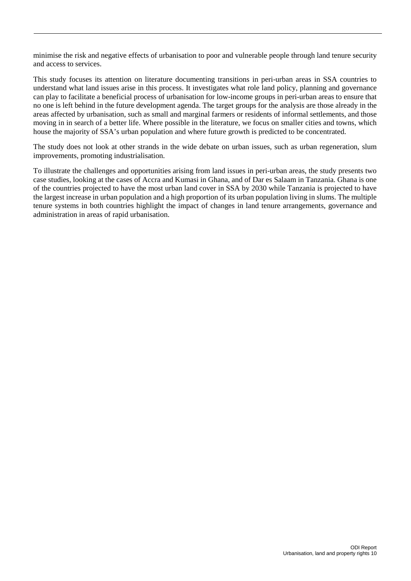minimise the risk and negative effects of urbanisation to poor and vulnerable people through land tenure security and access to services.

This study focuses its attention on literature documenting transitions in peri-urban areas in SSA countries to understand what land issues arise in this process. It investigates what role land policy, planning and governance can play to facilitate a beneficial process of urbanisation for low-income groups in peri-urban areas to ensure that no one is left behind in the future development agenda. The target groups for the analysis are those already in the areas affected by urbanisation, such as small and marginal farmers or residents of informal settlements, and those moving in in search of a better life. Where possible in the literature, we focus on smaller cities and towns, which house the majority of SSA's urban population and where future growth is predicted to be concentrated.

The study does not look at other strands in the wide debate on urban issues, such as urban regeneration, slum improvements, promoting industrialisation.

To illustrate the challenges and opportunities arising from land issues in peri-urban areas, the study presents two case studies, looking at the cases of Accra and Kumasi in Ghana, and of Dar es Salaam in Tanzania. Ghana is one of the countries projected to have the most urban land cover in SSA by 2030 while Tanzania is projected to have the largest increase in urban population and a high proportion of its urban population living in slums. The multiple tenure systems in both countries highlight the impact of changes in land tenure arrangements, governance and administration in areas of rapid urbanisation.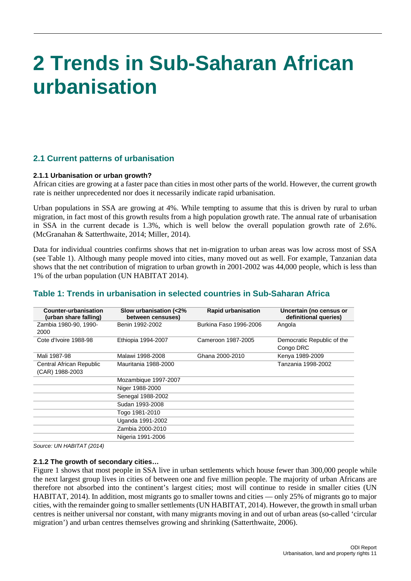## <span id="page-12-0"></span>**2 Trends in Sub-Saharan African urbanisation**

## <span id="page-12-1"></span>**2.1 Current patterns of urbanisation**

### **2.1.1 Urbanisation or urban growth?**

African cities are growing at a faster pace than cities in most other parts of the world. However, the current growth rate is neither unprecedented nor does it necessarily indicate rapid urbanisation.

Urban populations in SSA are growing at 4%. While tempting to assume that this is driven by rural to urban migration, in fact most of this growth results from a high population growth rate. The annual rate of urbanisation in SSA in the current decade is 1.3%, which is well below the overall population growth rate of 2.6%. [\(McGranahan & Satterthwaite, 2014;](#page-49-2) [Miller, 2014\)](#page-49-3).

Data for individual countries confirms shows that net in-migration to urban areas was low across most of SSA (see Table 1). Although many people moved into cities, many moved out as well. For example, Tanzanian data shows that the net contribution of migration to urban growth in 2001-2002 was 44,000 people, which is less than 1% of the urban population (UN HABITAT 2014).

## <span id="page-12-2"></span>**Table 1: Trends in urbanisation in selected countries in Sub-Saharan Africa**

| Counter-urbanisation<br>(urban share falling) | Slow urbanisation (<2%)<br>between censuses) | <b>Rapid urbanisation</b> | Uncertain (no census or<br>definitional queries) |
|-----------------------------------------------|----------------------------------------------|---------------------------|--------------------------------------------------|
| Zambia 1980-90, 1990-                         | Benin 1992-2002                              | Burkina Faso 1996-2006    | Angola                                           |
| 2000                                          |                                              |                           |                                                  |
| Cote d'Ivoire 1988-98                         | Ethiopia 1994-2007                           | Cameroon 1987-2005        | Democratic Republic of the                       |
|                                               |                                              |                           | Congo DRC                                        |
| Mali 1987-98                                  | Malawi 1998-2008                             | Ghana 2000-2010           | Kenya 1989-2009                                  |
| <b>Central African Republic</b>               | Mauritania 1988-2000                         |                           | Tanzania 1998-2002                               |
| (CAR) 1988-2003                               |                                              |                           |                                                  |
|                                               | Mozambique 1997-2007                         |                           |                                                  |
|                                               | Niger 1988-2000                              |                           |                                                  |
|                                               | Senegal 1988-2002                            |                           |                                                  |
|                                               | Sudan 1993-2008                              |                           |                                                  |
|                                               | Togo 1981-2010                               |                           |                                                  |
|                                               | Uganda 1991-2002                             |                           |                                                  |
|                                               | Zambia 2000-2010                             |                           |                                                  |
|                                               | Nigeria 1991-2006                            |                           |                                                  |
|                                               |                                              |                           |                                                  |

*Source: UN HABITAT (2014)*

### **2.1.2 The growth of secondary cities…**

Figure 1 shows that most people in SSA live in urban settlements which house fewer than 300,000 people while the next largest group lives in cities of between one and five million people. The majority of urban Africans are therefore not absorbed into the continent's largest cities; most will continue to reside in smaller cities [\(UN](#page-51-0)  [HABITAT, 2014\)](#page-51-0). In addition, most migrants go to smaller towns and cities — only 25% of migrants go to major cities, with the remainder going to smaller settlements [\(UN HABITAT, 2014\)](#page-51-0). However, the growth in small urban centres is neither universal nor constant, with many migrants moving in and out of urban areas (so-called 'circular migration') and urban centres themselves growing and shrinking [\(Satterthwaite, 2006\)](#page-50-1).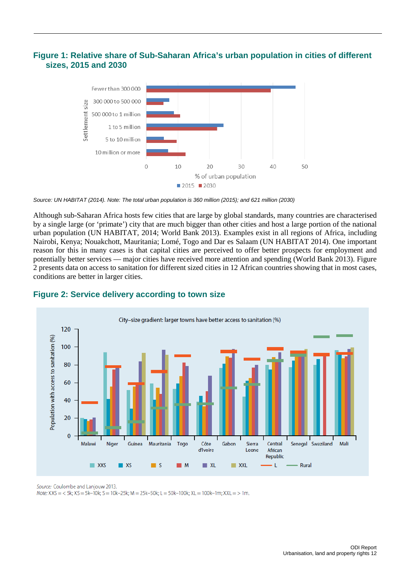## **Figure 1: Relative share of Sub-Saharan Africa's urban population in cities of different sizes, 2015 and 2030**

<span id="page-13-0"></span>

*Source: UN HABITAT (2014). Note: The total urban population is 360 million (2015); and 621 million (2030)*

Although sub-Saharan Africa hosts few cities that are large by global standards, many countries are characterised by a single large (or 'primate') city that are much bigger than other cities and host a large portion of the national urban population [\(UN HABITAT, 2014;](#page-51-0) World Bank 2013). Examples exist in all regions of Africa, including Nairobi, Kenya; Nouakchott, Mauritania; Lomé, Togo and Dar es Salaam (UN HABITAT 2014). One important reason for this in many cases is that capital cities are perceived to offer better prospects for employment and potentially better services — major cities have received more attention and spending (World Bank 2013). Figure 2 presents data on access to sanitation for different sized cities in 12 African countries showing that in most cases, conditions are better in larger cities.



## <span id="page-13-1"></span>**Figure 2: Service delivery according to town size**

Source: Coulombe and Lanjouw 2013. Note:  $XXS = 5k$ ;  $XS = 5k-10k$ ;  $S = 10k-25k$ ;  $M = 25k-50k$ ;  $L = 50k-100k$ ;  $XL = 100k-1m$ ;  $XXL = 10m$ .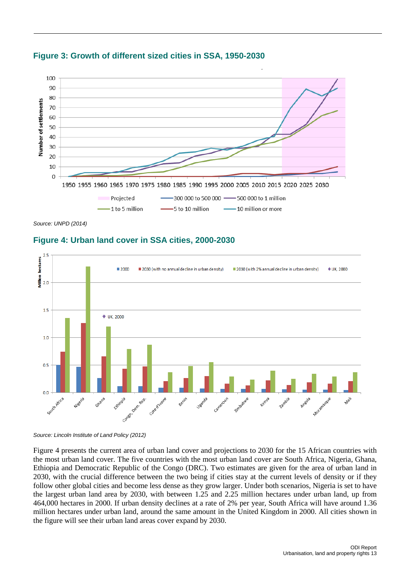

## <span id="page-14-0"></span>**Figure 3: Growth of different sized cities in SSA, 1950-2030**

<span id="page-14-1"></span>*Source: UNPD (2014)*

## **Figure 4: Urban land cover in SSA cities, 2000-2030**



*Source: Lincoln Institute of Land Policy (2012)*

Figure 4 presents the current area of urban land cover and projections to 2030 for the 15 African countries with the most urban land cover. The five countries with the most urban land cover are South Africa, Nigeria, Ghana, Ethiopia and Democratic Republic of the Congo (DRC). Two estimates are given for the area of urban land in 2030, with the crucial difference between the two being if cities stay at the current levels of density or if they follow other global cities and become less dense as they grow larger. Under both scenarios, Nigeria is set to have the largest urban land area by 2030, with between 1.25 and 2.25 million hectares under urban land, up from 464,000 hectares in 2000. If urban density declines at a rate of 2% per year, South Africa will have around 1.36 million hectares under urban land, around the same amount in the United Kingdom in 2000. All cities shown in the figure will see their urban land areas cover expand by 2030.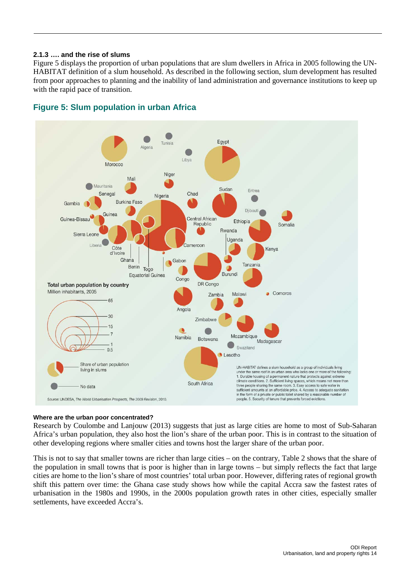### **2.1.3 …. and the rise of slums**

Figure 5 displays the proportion of urban populations that are slum dwellers in Africa in 2005 following the UN-HABITAT definition of a slum household. As described in the following section, slum development has resulted from poor approaches to planning and the inability of land administration and governance institutions to keep up with the rapid pace of transition.



## <span id="page-15-0"></span>**Figure 5: Slum population in urban Africa**

### **Where are the urban poor concentrated?**

Research by Coulombe and Lanjouw (2013) suggests that just as large cities are home to most of Sub-Saharan Africa's urban population, they also host the lion's share of the urban poor. This is in contrast to the situation of other developing regions where smaller cities and towns host the larger share of the urban poor.

This is not to say that smaller towns are richer than large cities – on the contrary, Table 2 shows that the share of the population in small towns that is poor is higher than in large towns – but simply reflects the fact that large cities are home to the lion's share of most countries' total urban poor. However, differing rates of regional growth shift this pattern over time: the Ghana case study shows how while the capital Accra saw the fastest rates of urbanisation in the 1980s and 1990s, in the 2000s population growth rates in other cities, especially smaller settlements, have exceeded Accra's.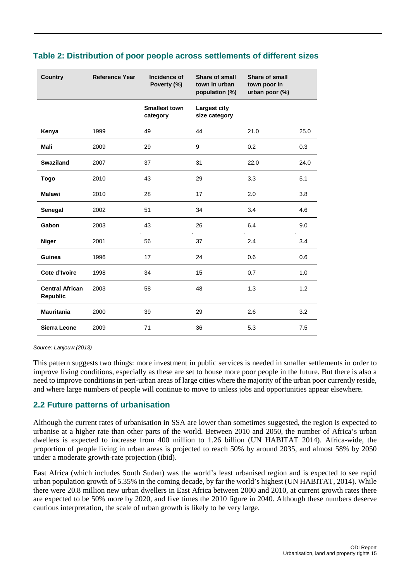| <b>Country</b>                            | <b>Reference Year</b> | Incidence of<br>Poverty (%)      | Share of small<br>town in urban<br>population (%) | Share of small<br>town poor in<br>urban poor (%) |      |
|-------------------------------------------|-----------------------|----------------------------------|---------------------------------------------------|--------------------------------------------------|------|
|                                           |                       | <b>Smallest town</b><br>category | Largest city<br>size category                     |                                                  |      |
| Kenya                                     | 1999                  | 49                               | 44                                                | 21.0                                             | 25.0 |
| <b>Mali</b>                               | 2009                  | 29                               | 9                                                 | 0.2                                              | 0.3  |
| <b>Swaziland</b>                          | 2007                  | 37                               | 31                                                | 22.0                                             | 24.0 |
| <b>Togo</b>                               | 2010                  | 43                               | 29                                                | 3.3                                              | 5.1  |
| <b>Malawi</b>                             | 2010                  | 28                               | 17                                                | 2.0                                              | 3.8  |
| Senegal                                   | 2002                  | 51                               | 34                                                | 3.4                                              | 4.6  |
| Gabon                                     | 2003                  | 43                               | 26                                                | 6.4                                              | 9.0  |
| <b>Niger</b>                              | 2001                  | 56                               | 37                                                | 2.4                                              | 3.4  |
| Guinea                                    | 1996                  | 17                               | 24                                                | 0.6                                              | 0.6  |
| Cote d'Ivoire                             | 1998                  | 34                               | 15                                                | 0.7                                              | 1.0  |
| <b>Central African</b><br><b>Republic</b> | 2003                  | 58                               | 48                                                | 1.3                                              | 1.2  |
| <b>Mauritania</b>                         | 2000                  | 39                               | 29                                                | 2.6                                              | 3.2  |
| <b>Sierra Leone</b>                       | 2009                  | 71                               | 36                                                | 5.3                                              | 7.5  |

## <span id="page-16-1"></span>**Table 2: Distribution of poor people across settlements of different sizes**

*Source: Lanjouw (2013)*

This pattern suggests two things: more investment in public services is needed in smaller settlements in order to improve living conditions, especially as these are set to house more poor people in the future. But there is also a need to improve conditions in peri-urban areas of large cities where the majority of the urban poor currently reside, and where large numbers of people will continue to move to unless jobs and opportunities appear elsewhere.

## <span id="page-16-0"></span>**2.2 Future patterns of urbanisation**

Although the current rates of urbanisation in SSA are lower than sometimes suggested, the region is expected to urbanise at a higher rate than other parts of the world. Between 2010 and 2050, the number of Africa's urban dwellers is expected to increase from 400 million to 1.26 billion (UN HABITAT 2014). Africa-wide, the proportion of people living in urban areas is projected to reach 50% by around 2035, and almost 58% by 2050 under a moderate growth-rate projection (ibid).

East Africa (which includes South Sudan) was the world's least urbanised region and is expected to see rapid urban population growth of 5.35% in the coming decade, by far the world's highest [\(UN HABITAT, 2014\)](#page-51-0). While there were 20.8 million new urban dwellers in East Africa between 2000 and 2010, at current growth rates there are expected to be 50% more by 2020, and five times the 2010 figure in 2040. Although these numbers deserve cautious interpretation, the scale of urban growth is likely to be very large.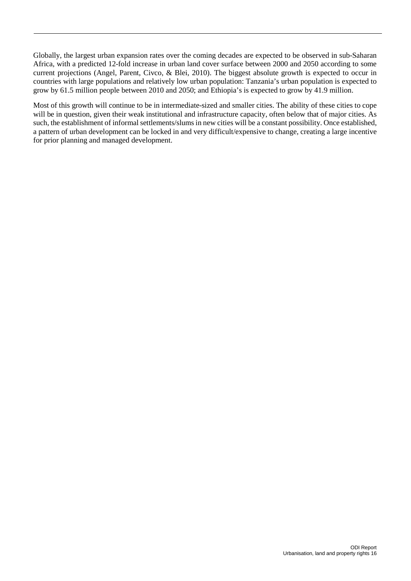Globally, the largest urban expansion rates over the coming decades are expected to be observed in sub-Saharan Africa, with a predicted 12-fold increase in urban land cover surface between 2000 and 2050 according to some current projections [\(Angel, Parent, Civco, & Blei, 2010\)](#page-47-1). The biggest absolute growth is expected to occur in countries with large populations and relatively low urban population: Tanzania's urban population is expected to grow by 61.5 million people between 2010 and 2050; and Ethiopia's is expected to grow by 41.9 million.

Most of this growth will continue to be in intermediate-sized and smaller cities. The ability of these cities to cope will be in question, given their weak institutional and infrastructure capacity, often below that of major cities. As such, the establishment of informal settlements/slums in new cities will be a constant possibility. Once established, a pattern of urban development can be locked in and very difficult/expensive to change, creating a large incentive for prior planning and managed development.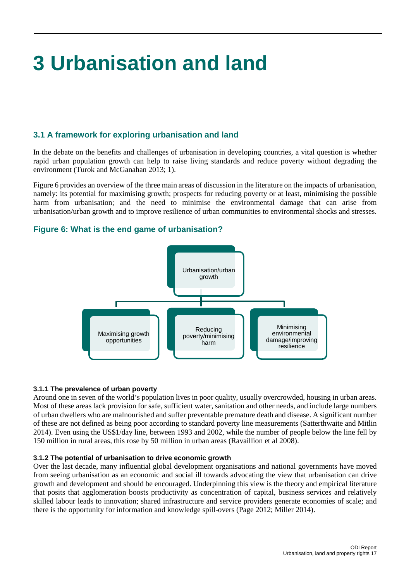# <span id="page-18-0"></span>**3 Urbanisation and land**

## <span id="page-18-1"></span>**3.1 A framework for exploring urbanisation and land**

In the debate on the benefits and challenges of urbanisation in developing countries, a vital question is whether rapid urban population growth can help to raise living standards and reduce poverty without degrading the environment (Turok and McGanahan 2013; 1).

Figure 6 provides an overview of the three main areas of discussion in the literature on the impacts of urbanisation, namely: its potential for maximising growth; prospects for reducing poverty or at least, minimising the possible harm from urbanisation; and the need to minimise the environmental damage that can arise from urbanisation/urban growth and to improve resilience of urban communities to environmental shocks and stresses.

## **Figure 6: What is the end game of urbanisation?**

<span id="page-18-2"></span>

## **3.1.1 The prevalence of urban poverty**

Around one in seven of the world's population lives in poor quality, usually overcrowded, housing in urban areas. Most of these areas lack provision for safe, sufficient water, sanitation and other needs, and include large numbers of urban dwellers who are malnourished and suffer preventable premature death and disease. A significant number of these are not defined as being poor according to standard poverty line measurements (Satterthwaite and Mitlin 2014). Even using the US\$1/day line, between 1993 and 2002, while the number of people below the line fell by 150 million in rural areas, this rose by 50 million in urban areas (Ravaillion et al 2008).

## **3.1.2 The potential of urbanisation to drive economic growth**

Over the last decade, many influential global development organisations and national governments have moved from seeing urbanisation as an economic and social ill towards advocating the view that urbanisation can drive growth and development and should be encouraged. Underpinning this view is the theory and empirical literature that posits that agglomeration boosts productivity as concentration of capital, business services and relatively skilled labour leads to innovation; shared infrastructure and service providers generate economies of scale; and there is the opportunity for information and knowledge spill-overs (Page 2012; Miller 2014).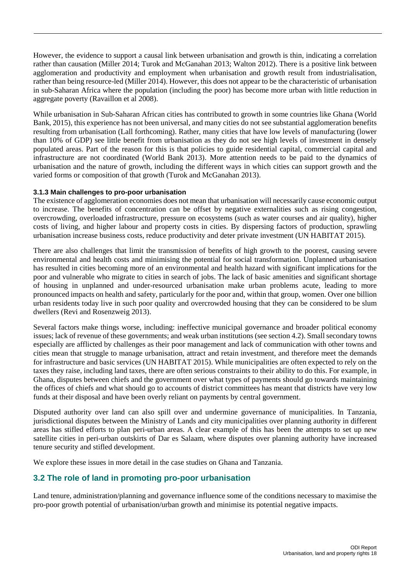However, the evidence to support a causal link between urbanisation and growth is thin, indicating a correlation rather than causation (Miller 2014; Turok and McGanahan 2013; Walton 2012). There is a positive link between agglomeration and productivity and employment when urbanisation and growth result from industrialisation, rather than being resource-led (Miller 2014). However, this does not appear to be the characteristic of urbanisation in sub-Saharan Africa where the population (including the poor) has become more urban with little reduction in aggregate poverty (Ravaillon et al 2008).

While urbanisation in Sub-Saharan African cities has contributed to growth in some countries like Ghana (World Bank, 2015), this experience has not been universal, and many cities do not see substantial agglomeration benefits resulting from urbanisation (Lall forthcoming). Rather, many cities that have low levels of manufacturing (lower than 10% of GDP) see little benefit from urbanisation as they do not see high levels of investment in densely populated areas. Part of the reason for this is that policies to guide residential capital, commercial capital and infrastructure are not coordinated (World Bank 2013). More attention needs to be paid to the dynamics of urbanisation and the nature of growth, including the different ways in which cities can support growth and the varied forms or composition of that growth (Turok and McGanahan 2013).

### **3.1.3 Main challenges to pro-poor urbanisation**

The existence of agglomeration economies does not mean that urbanisation will necessarily cause economic output to increase. The benefits of concentration can be offset by negative externalities such as rising congestion, overcrowding, overloaded infrastructure, pressure on ecosystems (such as water courses and air quality), higher costs of living, and higher labour and property costs in cities. By dispersing factors of production, sprawling urbanisation increase business costs, reduce productivity and deter private investment (UN HABITAT 2015).

There are also challenges that limit the transmission of benefits of high growth to the poorest, causing severe environmental and health costs and minimising the potential for social transformation. Unplanned urbanisation has resulted in cities becoming more of an environmental and health hazard with significant implications for the poor and vulnerable who migrate to cities in search of jobs. The lack of basic amenities and significant shortage of housing in unplanned and under-resourced urbanisation make urban problems acute, leading to more pronounced impacts on health and safety, particularly for the poor and, within that group, women. Over one billion urban residents today live in such poor quality and overcrowded housing that they can be considered to be slum dwellers (Revi and Rosenzweig 2013).

Several factors make things worse, including: ineffective municipal governance and broader political economy issues; lack of revenue of these governments; and weak urban institutions (see section 4.2). Small secondary towns especially are afflicted by challenges as their poor management and lack of communication with other towns and cities mean that struggle to manage urbanisation, attract and retain investment, and therefore meet the demands for infrastructure and basic services (UN HABITAT 2015). While municipalities are often expected to rely on the taxes they raise, including land taxes, there are often serious constraints to their ability to do this. For example, in Ghana, disputes between chiefs and the government over what types of payments should go towards maintaining the offices of chiefs and what should go to accounts of district committees has meant that districts have very low funds at their disposal and have been overly reliant on payments by central government.

Disputed authority over land can also spill over and undermine governance of municipalities. In Tanzania, jurisdictional disputes between the Ministry of Lands and city municipalities over planning authority in different areas has stifled efforts to plan peri-urban areas. A clear example of this has been the attempts to set up new satellite cities in peri-urban outskirts of Dar es Salaam, where disputes over planning authority have increased tenure security and stifled development.

We explore these issues in more detail in the case studies on Ghana and Tanzania.

## <span id="page-19-0"></span>**3.2 The role of land in promoting pro-poor urbanisation**

Land tenure, administration/planning and governance influence some of the conditions necessary to maximise the pro-poor growth potential of urbanisation/urban growth and minimise its potential negative impacts.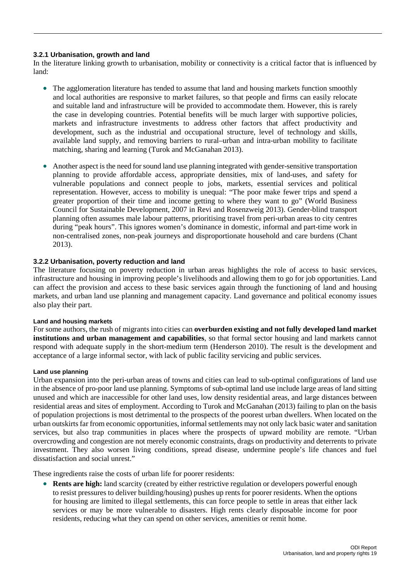### **3.2.1 Urbanisation, growth and land**

In the literature linking growth to urbanisation, mobility or connectivity is a critical factor that is influenced by land:

- The agglomeration literature has tended to assume that land and housing markets function smoothly and local authorities are responsive to market failures, so that people and firms can easily relocate and suitable land and infrastructure will be provided to accommodate them. However, this is rarely the case in developing countries. Potential benefits will be much larger with supportive policies, markets and infrastructure investments to address other factors that affect productivity and development, such as the industrial and occupational structure, level of technology and skills, available land supply, and removing barriers to rural–urban and intra-urban mobility to facilitate matching, sharing and learning (Turok and McGanahan 2013).
- Another aspect is the need for sound land use planning integrated with gender-sensitive transportation planning to provide affordable access, appropriate densities, mix of land-uses, and safety for vulnerable populations and connect people to jobs, markets, essential services and political representation. However, access to mobility is unequal: "The poor make fewer trips and spend a greater proportion of their time and income getting to where they want to go" (World Business Council for Sustainable Development, 2007 in Revi and Rosenzweig 2013). Gender-blind transport planning often assumes male labour patterns, prioritising travel from peri-urban areas to city centres during "peak hours". This ignores women's dominance in domestic, informal and part-time work in non-centralised zones, non-peak journeys and disproportionate household and care burdens (Chant 2013).

## **3.2.2 Urbanisation, poverty reduction and land**

The literature focusing on poverty reduction in urban areas highlights the role of access to basic services, infrastructure and housing in improving people's livelihoods and allowing them to go for job opportunities. Land can affect the provision and access to these basic services again through the functioning of land and housing markets, and urban land use planning and management capacity. Land governance and political economy issues also play their part.

### **Land and housing markets**

For some authors, the rush of migrants into cities can **overburden existing and not fully developed land market institutions and urban management and capabilities**, so that formal sector housing and land markets cannot respond with adequate supply in the short-medium term (Henderson 2010). The result is the development and acceptance of a large informal sector, with lack of public facility servicing and public services.

#### **Land use planning**

Urban expansion into the peri-urban areas of towns and cities can lead to sub-optimal configurations of land use in the absence of pro-poor land use planning. Symptoms of sub-optimal land use include large areas of land sitting unused and which are inaccessible for other land uses, low density residential areas, and large distances between residential areas and sites of employment. According to Turok and McGanahan (2013) failing to plan on the basis of population projections is most detrimental to the prospects of the poorest urban dwellers. When located on the urban outskirts far from economic opportunities, informal settlements may not only lack basic water and sanitation services, but also trap communities in places where the prospects of upward mobility are remote. "Urban overcrowding and congestion are not merely economic constraints, drags on productivity and deterrents to private investment. They also worsen living conditions, spread disease, undermine people's life chances and fuel dissatisfaction and social unrest."

These ingredients raise the costs of urban life for poorer residents:

• **Rents are high:** land scarcity (created by either restrictive regulation or developers powerful enough to resist pressures to deliver building/housing) pushes up rents for poorer residents. When the options for housing are limited to illegal settlements, this can force people to settle in areas that either lack services or may be more vulnerable to disasters. High rents clearly disposable income for poor residents, reducing what they can spend on other services, amenities or remit home.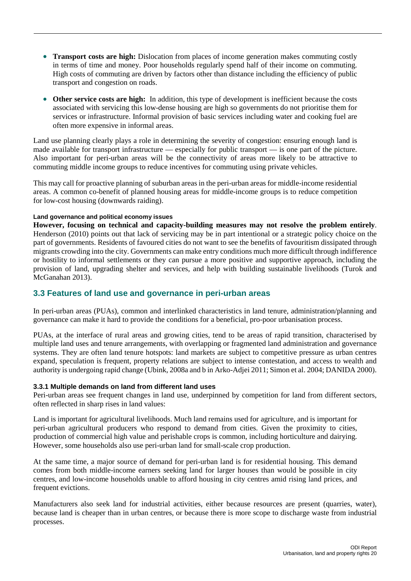- **Transport costs are high:** Dislocation from places of income generation makes commuting costly in terms of time and money. Poor households regularly spend half of their income on commuting. High costs of commuting are driven by factors other than distance including the efficiency of public transport and congestion on roads.
- **Other service costs are high:** In addition, this type of development is inefficient because the costs associated with servicing this low-dense housing are high so governments do not prioritise them for services or infrastructure. Informal provision of basic services including water and cooking fuel are often more expensive in informal areas.

Land use planning clearly plays a role in determining the severity of congestion: ensuring enough land is made available for transport infrastructure — especially for public transport — is one part of the picture. Also important for peri-urban areas will be the connectivity of areas more likely to be attractive to commuting middle income groups to reduce incentives for commuting using private vehicles.

This may call for proactive planning of suburban areas in the peri-urban areas for middle-income residential areas. A common co-benefit of planned housing areas for middle-income groups is to reduce competition for low-cost housing (downwards raiding).

## **Land governance and political economy issues**

**However, focusing on technical and capacity-building measures may not resolve the problem entirely**. Henderson (2010) points out that lack of servicing may be in part intentional or a strategic policy choice on the part of governments. Residents of favoured cities do not want to see the benefits of favouritism dissipated through migrants crowding into the city. Governments can make entry conditions much more difficult through indifference or hostility to informal settlements or they can pursue a more positive and supportive approach, including the provision of land, upgrading shelter and services, and help with building sustainable livelihoods (Turok and McGanahan 2013).

## <span id="page-21-0"></span>**3.3 Features of land use and governance in peri-urban areas**

In peri-urban areas (PUAs), common and interlinked characteristics in land tenure, administration/planning and governance can make it hard to provide the conditions for a beneficial, pro-poor urbanisation process.

PUAs, at the interface of rural areas and growing cities, tend to be areas of rapid transition, characterised by multiple land uses and tenure arrangements, with overlapping or fragmented land administration and governance systems. They are often land tenure hotspots: land markets are subject to competitive pressure as urban centres expand, speculation is frequent, property relations are subject to intense contestation, and access to wealth and authority is undergoing rapid change (Ubink, 2008a and b in Arko-Adjei 2011; [Simon et al. 2004;](#page-50-0) DANIDA 2000).

### **3.3.1 Multiple demands on land from different land uses**

Peri-urban areas see frequent changes in land use, underpinned by competition for land from different sectors, often reflected in sharp rises in land values:

Land is important for agricultural livelihoods. Much land remains used for agriculture, and is important for peri-urban agricultural producers who respond to demand from cities. Given the proximity to cities, production of commercial high value and perishable crops is common, including horticulture and dairying. However, some households also use peri-urban land for small-scale crop production.

At the same time, a major source of demand for peri-urban land is for residential housing. This demand comes from both middle-income earners seeking land for larger houses than would be possible in city centres, and low-income households unable to afford housing in city centres amid rising land prices, and frequent evictions.

Manufacturers also seek land for industrial activities, either because resources are present (quarries, water), because land is cheaper than in urban centres, or because there is more scope to discharge waste from industrial processes.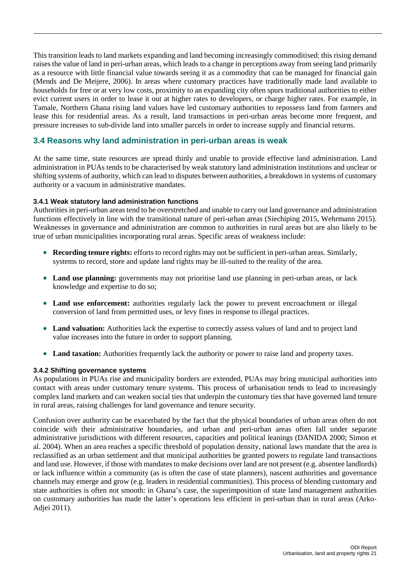This transition leads to land markets expanding and land becoming increasingly commoditised: this rising demand raises the value of land in peri-urban areas, which leads to a change in perceptions away from seeing land primarily as a resource with little financial value towards seeing it as a commodity that can be managed for financial gain (Mends and De Meijere, 2006). In areas where customary practices have traditionally made land available to households for free or at very low costs, proximity to an expanding city often spurs traditional authorities to either evict current users in order to lease it out at higher rates to developers, or charge higher rates. For example, in Tamale, Northern Ghana rising land values have led customary authorities to repossess land from farmers and lease this for residential areas. As a result, land transactions in peri-urban areas become more frequent, and pressure increases to sub-divide land into smaller parcels in order to increase supply and financial returns.

## <span id="page-22-0"></span>**3.4 Reasons why land administration in peri-urban areas is weak**

At the same time, state resources are spread thinly and unable to provide effective land administration. Land administration in PUAs tends to be characterised by weak statutory land administration institutions and unclear or shifting systems of authority, which can lead to disputes between authorities, a breakdown in systems of customary authority or a vacuum in administrative mandates.

### **3.4.1 Weak statutory land administration functions**

Authorities in peri-urban areas tend to be overstretched and unable to carry out land governance and administration functions effectively in line with the transitional nature of peri-urban areas (Siechiping 2015, Wehrmann 2015). Weaknesses in governance and administration are common to authorities in rural areas but are also likely to be true of urban municipalities incorporating rural areas. Specific areas of weakness include:

- **Recording tenure rights:** efforts to record rights may not be sufficient in peri-urban areas. Similarly, systems to record, store and update land rights may be ill-suited to the reality of the area.
- **Land use planning:** governments may not prioritise land use planning in peri-urban areas, or lack knowledge and expertise to do so;
- **Land use enforcement:** authorities regularly lack the power to prevent encroachment or illegal conversion of land from permitted uses, or levy fines in response to illegal practices.
- **Land valuation:** Authorities lack the expertise to correctly assess values of land and to project land value increases into the future in order to support planning.
- Land taxation: Authorities frequently lack the authority or power to raise land and property taxes.

### **3.4.2 Shifting governance systems**

As populations in PUAs rise and municipality borders are extended, PUAs may bring municipal authorities into contact with areas under customary tenure systems. This process of urbanisation tends to lead to increasingly complex land markets and can weaken social ties that underpin the customary ties that have governed land tenure in rural areas, raising challenges for land governance and tenure security.

Confusion over authority can be exacerbated by the fact that the physical boundaries of urban areas often do not coincide with their administrative boundaries, and urban and peri-urban areas often fall under separate administrative jurisdictions with different resources, capacities and political leanings (DANIDA 2000; Simon et al. 2004). When an area reaches a specific threshold of population density, national laws mandate that the area is reclassified as an urban settlement and that municipal authorities be granted powers to regulate land transactions and land use. However, if those with mandates to make decisions over land are not present (e.g. absentee landlords) or lack influence within a community (as is often the case of state planners), nascent authorities and governance channels may emerge and grow (e.g. leaders in residential communities). This process of blending customary and state authorities is often not smooth: in Ghana's case, the superimposition of state land management authorities on customary authorities has made the latter's operations less efficient in peri-urban than in rural areas (Arko-Adjei 2011).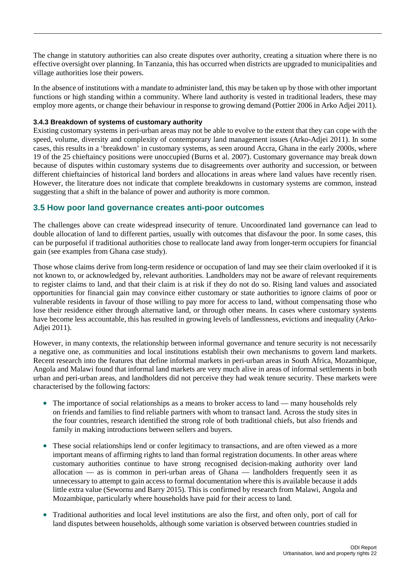The change in statutory authorities can also create disputes over authority, creating a situation where there is no effective oversight over planning. In Tanzania, this has occurred when districts are upgraded to municipalities and village authorities lose their powers.

In the absence of institutions with a mandate to administer land, this may be taken up by those with other important functions or high standing within a community. Where land authority is vested in traditional leaders, these may employ more agents, or change their behaviour in response to growing demand (Pottier 2006 in Arko Adjei 2011).

### **3.4.3 Breakdown of systems of customary authority**

Existing customary systems in peri-urban areas may not be able to evolve to the extent that they can cope with the speed, volume, diversity and complexity of contemporary land management issues (Arko-Adjei 2011). In some cases, this results in a 'breakdown' in customary systems, as seen around Accra, Ghana in the early 2000s, where 19 of the 25 chieftaincy positions were unoccupied (Burns et al. 2007). Customary governance may break down because of disputes within customary systems due to disagreements over authority and succession, or between different chieftaincies of historical land borders and allocations in areas where land values have recently risen. However, the literature does not indicate that complete breakdowns in customary systems are common, instead suggesting that a shift in the balance of power and authority is more common.

## <span id="page-23-0"></span>**3.5 How poor land governance creates anti-poor outcomes**

The challenges above can create widespread insecurity of tenure. Uncoordinated land governance can lead to double allocation of land to different parties, usually with outcomes that disfavour the poor. In some cases, this can be purposeful if traditional authorities chose to reallocate land away from longer-term occupiers for financial gain (see examples from Ghana case study).

Those whose claims derive from long-term residence or occupation of land may see their claim overlooked if it is not known to, or acknowledged by, relevant authorities. Landholders may not be aware of relevant requirements to register claims to land, and that their claim is at risk if they do not do so. Rising land values and associated opportunities for financial gain may convince either customary or state authorities to ignore claims of poor or vulnerable residents in favour of those willing to pay more for access to land, without compensating those who lose their residence either through alternative land, or through other means. In cases where customary systems have become less accountable, this has resulted in growing levels of landlessness, evictions and inequality (Arko-Adjei 2011).

However, in many contexts, the relationship between informal governance and tenure security is not necessarily a negative one, as communities and local institutions establish their own mechanisms to govern land markets. Recent research into the features that define informal markets in peri-urban areas in South Africa, Mozambique, Angola and Malawi found that informal land markets are very much alive in areas of informal settlements in both urban and peri-urban areas, and landholders did not perceive they had weak tenure security. These markets were characterised by the following factors:

- The importance of social relationships as a means to broker access to land many households rely on friends and families to find reliable partners with whom to transact land. Across the study sites in the four countries, research identified the strong role of both traditional chiefs, but also friends and family in making introductions between sellers and buyers.
- These social relationships lend or confer legitimacy to transactions, and are often viewed as a more important means of affirming rights to land than formal registration documents. In other areas where customary authorities continue to have strong recognised decision-making authority over land allocation — as is common in peri-urban areas of Ghana — landholders frequently seen it as unnecessary to attempt to gain access to formal documentation where this is available because it adds little extra value (Sewornu and Barry 2015). This is confirmed by research from Malawi, Angola and Mozambique, particularly where households have paid for their access to land.
- Traditional authorities and local level institutions are also the first, and often only, port of call for land disputes between households, although some variation is observed between countries studied in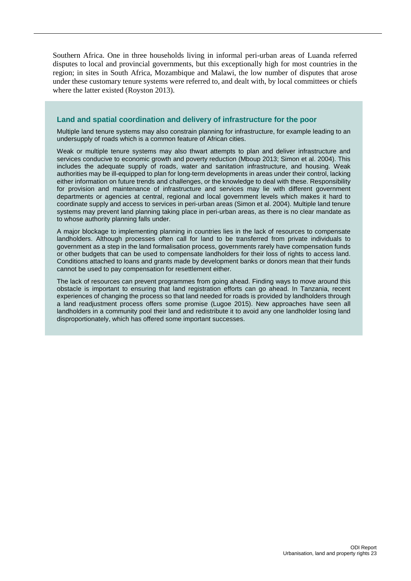Southern Africa. One in three households living in informal peri-urban areas of Luanda referred disputes to local and provincial governments, but this exceptionally high for most countries in the region; in sites in South Africa, Mozambique and Malawi, the low number of disputes that arose under these customary tenure systems were referred to, and dealt with, by local committees or chiefs where the latter existed (Royston 2013).

#### <span id="page-24-0"></span>**Land and spatial coordination and delivery of infrastructure for the poor**

Multiple land tenure systems may also constrain planning for infrastructure, for example leading to an undersupply of roads which is a common feature of African cities.

Weak or multiple tenure systems may also thwart attempts to plan and deliver infrastructure and services conducive to economic growth and poverty reduction (Mboup 2013; Simon et al. 2004). This includes the adequate supply of roads, water and sanitation infrastructure, and housing. Weak authorities may be ill-equipped to plan for long-term developments in areas under their control, lacking either information on future trends and challenges, or the knowledge to deal with these. Responsibility for provision and maintenance of infrastructure and services may lie with different government departments or agencies at central, regional and local government levels which makes it hard to coordinate supply and access to services in peri-urban areas (Simon et al. 2004). Multiple land tenure systems may prevent land planning taking place in peri-urban areas, as there is no clear mandate as to whose authority planning falls under.

A major blockage to implementing planning in countries lies in the lack of resources to compensate landholders. Although processes often call for land to be transferred from private individuals to government as a step in the land formalisation process, governments rarely have compensation funds or other budgets that can be used to compensate landholders for their loss of rights to access land. Conditions attached to loans and grants made by development banks or donors mean that their funds cannot be used to pay compensation for resettlement either.

The lack of resources can prevent programmes from going ahead. Finding ways to move around this obstacle is important to ensuring that land registration efforts can go ahead. In Tanzania, recent experiences of changing the process so that land needed for roads is provided by landholders through a land readjustment process offers some promise (Lugoe 2015). New approaches have seen all landholders in a community pool their land and redistribute it to avoid any one landholder losing land disproportionately, which has offered some important successes.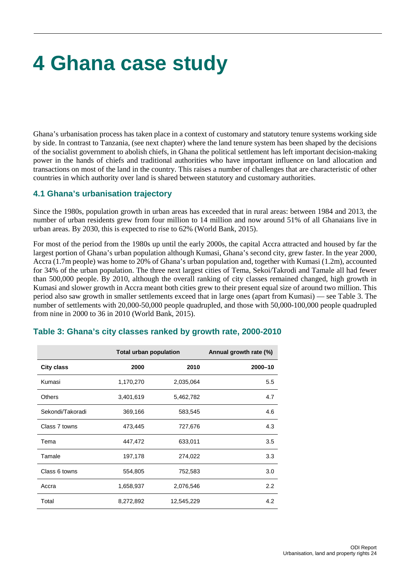## <span id="page-25-0"></span>**4 Ghana case study**

Ghana's urbanisation process has taken place in a context of customary and statutory tenure systems working side by side. In contrast to Tanzania, (see next chapter) where the land tenure system has been shaped by the decisions of the socialist government to abolish chiefs, in Ghana the political settlement has left important decision-making power in the hands of chiefs and traditional authorities who have important influence on land allocation and transactions on most of the land in the country. This raises a number of challenges that are characteristic of other countries in which authority over land is shared between statutory and customary authorities.

## <span id="page-25-1"></span>**4.1 Ghana's urbanisation trajectory**

Since the 1980s, population growth in urban areas has exceeded that in rural areas: between 1984 and 2013, the number of urban residents grew from four million to 14 million and now around 51% of all Ghanaians live in urban areas. By 2030, this is expected to rise to 62% (World Bank, 2015).

For most of the period from the 1980s up until the early 2000s, the capital Accra attracted and housed by far the largest portion of Ghana's urban population although Kumasi, Ghana's second city, grew faster. In the year 2000, Accra (1.7m people) was home to 20% of Ghana's urban population and, together with Kumasi (1.2m), accounted for 34% of the urban population. The three next largest cities of Tema, Sekoi/Takrodi and Tamale all had fewer than 500,000 people. By 2010, although the overall ranking of city classes remained changed, high growth in Kumasi and slower growth in Accra meant both cities grew to their present equal size of around two million. This period also saw growth in smaller settlements exceed that in large ones (apart from Kumasi) — see Table 3. The number of settlements with 20,000-50,000 people quadrupled, and those with 50,000-100,000 people quadrupled from nine in 2000 to 36 in 2010 (World Bank, 2015).

|                   | <b>Total urban population</b> |            | Annual growth rate (%) |
|-------------------|-------------------------------|------------|------------------------|
| <b>City class</b> | 2000                          | 2010       | 2000-10                |
| Kumasi            | 1,170,270                     | 2,035,064  | 5.5                    |
| <b>Others</b>     | 3,401,619                     | 5,462,782  | 4.7                    |
| Sekondi/Takoradi  | 369,166                       | 583,545    | 4.6                    |
| Class 7 towns     | 473,445                       | 727,676    | 4.3                    |
| Tema              | 447,472                       | 633,011    | 3.5                    |
| Tamale            | 197,178                       | 274,022    | 3.3                    |
| Class 6 towns     | 554,805                       | 752,583    | 3.0                    |
| Accra             | 1,658,937                     | 2,076,546  | 2.2                    |
| Total             | 8,272,892                     | 12,545,229 | 4.2                    |

## <span id="page-25-2"></span>**Table 3: Ghana's city classes ranked by growth rate, 2000-2010**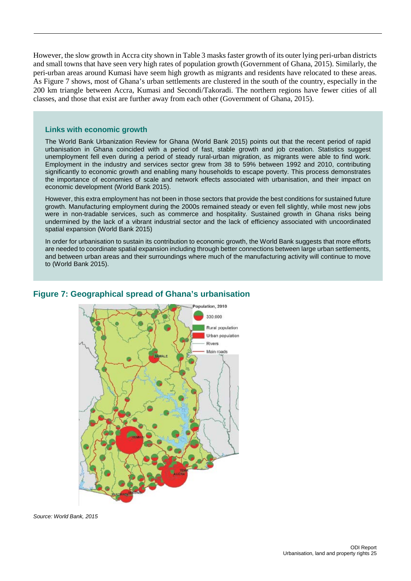However, the slow growth in Accra city shown in Table 3 masks faster growth of its outer lying peri-urban districts and small towns that have seen very high rates of population growth [\(Government of Ghana, 2015\)](#page-48-0). Similarly, the peri-urban areas around Kumasi have seem high growth as migrants and residents have relocated to these areas. As Figure 7 shows, most of Ghana's urban settlements are clustered in the south of the country, especially in the 200 km triangle between Accra, Kumasi and Secondi/Takoradi. The northern regions have fewer cities of all classes, and those that exist are further away from each other [\(Government of Ghana, 2015\)](#page-48-0).

#### <span id="page-26-1"></span>**Links with economic growth**

The World Bank Urbanization Review for Ghana (World Bank 2015) points out that the recent period of rapid urbanisation in Ghana coincided with a period of fast, stable growth and job creation. Statistics suggest unemployment fell even during a period of steady rural-urban migration, as migrants were able to find work. Employment in the industry and services sector grew from 38 to 59% between 1992 and 2010, contributing significantly to economic growth and enabling many households to escape poverty. This process demonstrates the importance of economies of scale and network effects associated with urbanisation, and their impact on economic development (World Bank 2015).

However, this extra employment has not been in those sectors that provide the best conditions for sustained future growth. Manufacturing employment during the 2000s remained steady or even fell slightly, while most new jobs were in non-tradable services, such as commerce and hospitality. Sustained growth in Ghana risks being undermined by the lack of a vibrant industrial sector and the lack of efficiency associated with uncoordinated spatial expansion (World Bank 2015)

In order for urbanisation to sustain its contribution to economic growth, the World Bank suggests that more efforts are needed to coordinate spatial expansion including through better connections between large urban settlements, and between urban areas and their surroundings where much of the manufacturing activity will continue to move to (World Bank 2015).

<span id="page-26-0"></span>

## **Figure 7: Geographical spread of Ghana's urbanisation**

*Source: World Bank, 2015*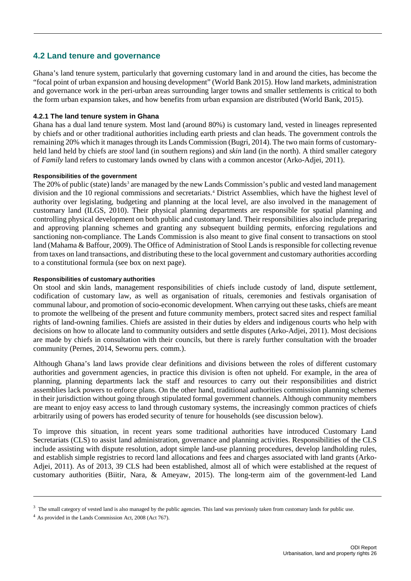## <span id="page-27-0"></span>**4.2 Land tenure and governance**

Ghana's land tenure system, particularly that governing customary land in and around the cities, has become the "focal point of urban expansion and housing development" (World Bank 2015). How land markets, administration and governance work in the peri-urban areas surrounding larger towns and smaller settlements is critical to both the form urban expansion takes, and how benefits from urban expansion are distributed (World Bank, 2015).

### **4.2.1 The land tenure system in Ghana**

Ghana has a dual land tenure system. Most land (around 80%) is customary land, vested in lineages represented by chiefs and or other traditional authorities including earth priests and clan heads. The government controls the remaining 20% which it manages through its Lands Commission [\(Bugri, 2014\)](#page-47-2). The two main forms of customaryheld land held by chiefs are *stool* land (in southern regions) and *skin* land (in the north). A third smaller category of *Family* land refers to customary lands owned by clans with a common ancestor [\(Arko-Adjei, 2011\)](#page-47-3).

#### **Responsibilities of the government**

The 20% of public (state) lands<sup>[3](#page-27-1)</sup> are managed by the new Lands Commission's public and vested land management division and the 10 regional commissions and secretariats. [4](#page-27-2) District Assemblies, which have the highest level of authority over legislating, budgeting and planning at the local level, are also involved in the management of customary land (ILGS, 2010). Their physical planning departments are responsible for spatial planning and controlling physical development on both public and customary land. Their responsibilities also include preparing and approving planning schemes and granting any subsequent building permits, enforcing regulations and sanctioning non-compliance. The Lands Commission is also meant to give final consent to transactions on stool land [\(Mahama & Baffour, 2009\)](#page-49-4). The Office of Administration of Stool Lands is responsible for collecting revenue from taxes on land transactions, and distributing these to the local government and customary authorities according to a constitutional formula (see box on next page).

#### **Responsibilities of customary authorities**

On stool and skin lands, management responsibilities of chiefs include custody of land, dispute settlement, codification of customary law, as well as organisation of rituals, ceremonies and festivals organisation of communal labour, and promotion of socio-economic development. When carrying out these tasks, chiefs are meant to promote the wellbeing of the present and future community members, protect sacred sites and respect familial rights of land-owning families. Chiefs are assisted in their duties by elders and indigenous courts who help with decisions on how to allocate land to community outsiders and settle disputes [\(Arko-Adjei, 2011\)](#page-47-3). Most decisions are made by chiefs in consultation with their councils, but there is rarely further consultation with the broader community (Pernes, 2014, Sewornu pers. comm.).

Although Ghana's land laws provide clear definitions and divisions between the roles of different customary authorities and government agencies, in practice this division is often not upheld. For example, in the area of planning, planning departments lack the staff and resources to carry out their responsibilities and district assemblies lack powers to enforce plans. On the other hand, traditional authorities commission planning schemes in their jurisdiction without going through stipulated formal government channels. Although community members are meant to enjoy easy access to land through customary systems, the increasingly common practices of chiefs arbitrarily using of powers has eroded security of tenure for households (see discussion below).

To improve this situation, in recent years some traditional authorities have introduced Customary Land Secretariats (CLS) to assist land administration, governance and planning activities. Responsibilities of the CLS include assisting with dispute resolution, adopt simple land-use planning procedures, develop landholding rules, and establish simple registries to record land allocations and fees and charges associated with land grants [\(Arko-](#page-47-3)[Adjei, 2011\)](#page-47-3). As of 2013, 39 CLS had been established, almost all of which were established at the request of customary authorities [\(Biitir, Nara, & Ameyaw, 2015\)](#page-47-4). The long-term aim of the government-led Land

<span id="page-27-1"></span><sup>&</sup>lt;sup>3</sup> The small category of vested land is also managed by the public agencies. This land was previously taken from customary lands for public use.

<span id="page-27-2"></span><sup>4</sup> As provided in the Lands Commission Act, 2008 (Act 767).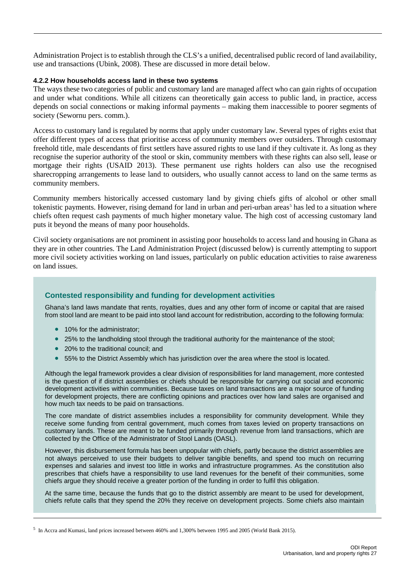Administration Project is to establish through the CLS's a unified, decentralised public record of land availability, use and transactions [\(Ubink, 2008\)](#page-50-2). These are discussed in more detail below.

#### **4.2.2 How households access land in these two systems**

The ways these two categories of public and customary land are managed affect who can gain rights of occupation and under what conditions. While all citizens can theoretically gain access to public land, in practice, access depends on social connections or making informal payments – making them inaccessible to poorer segments of society (Sewornu pers. comm.).

Access to customary land is regulated by norms that apply under customary law. Several types of rights exist that offer different types of access that prioritise access of community members over outsiders. Through customary freehold title, male descendants of first settlers have assured rights to use land if they cultivate it. As long as they recognise the superior authority of the stool or skin, community members with these rights can also sell, lease or mortgage their rights (USAID 2013). These permanent use rights holders can also use the recognised sharecropping arrangements to lease land to outsiders, who usually cannot access to land on the same terms as community members.

Community members historically accessed customary land by giving chiefs gifts of alcohol or other small tokenistic payments. However, rising demand for land in urban and peri-urban areas<sup>[5](#page-28-1)</sup> has led to a situation where chiefs often request cash payments of much higher monetary value. The high cost of accessing customary land puts it beyond the means of many poor households.

Civil society organisations are not prominent in assisting poor households to access land and housing in Ghana as they are in other countries. The Land Administration Project (discussed below) is currently attempting to support more civil society activities working on land issues, particularly on public education activities to raise awareness on land issues.

## <span id="page-28-0"></span>**Contested responsibility and funding for development activities**

Ghana's land laws mandate that rents, royalties, dues and any other form of income or capital that are raised from stool land are meant to be paid into stool land account for redistribution, according to the following formula:

- 10% for the administrator:
- 25% to the landholding stool through the traditional authority for the maintenance of the stool;
- 20% to the traditional council; and
- 55% to the District Assembly which has jurisdiction over the area where the stool is located.

Although the legal framework provides a clear division of responsibilities for land management, more contested is the question of if district assemblies or chiefs should be responsible for carrying out social and economic development activities within communities. Because taxes on land transactions are a major source of funding for development projects, there are conflicting opinions and practices over how land sales are organised and how much tax needs to be paid on transactions.

The core mandate of district assemblies includes a responsibility for community development. While they receive some funding from central government, much comes from taxes levied on property transactions on customary lands. These are meant to be funded primarily through revenue from land transactions, which are collected by the Office of the Administrator of Stool Lands (OASL).

However, this disbursement formula has been unpopular with chiefs, partly because the district assemblies are not always perceived to use their budgets to deliver tangible benefits, and spend too much on recurring expenses and salaries and invest too little in works and infrastructure programmes. As the constitution also prescribes that chiefs have a responsibility to use land revenues for the benefit of their communities, some chiefs argue they should receive a greater portion of the funding in order to fulfil this obligation.

At the same time, because the funds that go to the district assembly are meant to be used for development, chiefs refute calls that they spend the 20% they receive on development projects. Some chiefs also maintain

<span id="page-28-1"></span><sup>5</sup> In Accra and Kumasi, land prices increased between 460% and 1,300% between 1995 and 2005 (World Bank 2015).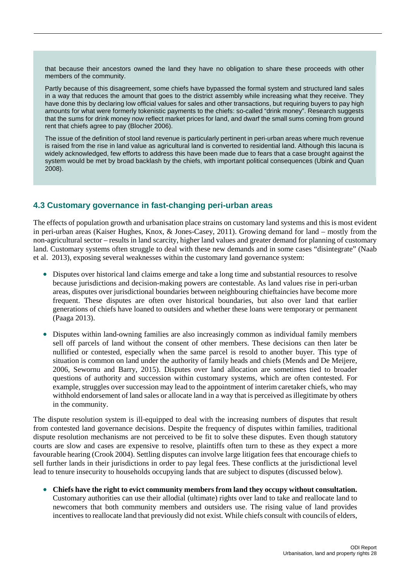that because their ancestors owned the land they have no obligation to share these proceeds with other members of the community.

Partly because of this disagreement, some chiefs have bypassed the formal system and structured land sales in a way that reduces the amount that goes to the district assembly while increasing what they receive. They have done this by declaring low official values for sales and other transactions, but requiring buyers to pay high amounts for what were formerly tokenistic payments to the chiefs: so-called "drink money". Research suggests that the sums for drink money now reflect market prices for land, and dwarf the small sums coming from ground rent that chiefs agree to pay (Blocher 2006).

The issue of the definition of stool land revenue is particularly pertinent in peri-urban areas where much revenue is raised from the rise in land value as agricultural land is converted to residential land. Although this lacuna is widely acknowledged, few efforts to address this have been made due to fears that a case brought against the system would be met by broad backlash by the chiefs, with important political consequences (Ubink and Quan 2008).

## <span id="page-29-0"></span>**4.3 Customary governance in fast-changing peri-urban areas**

The effects of population growth and urbanisation place strains on customary land systems and this is most evident in peri-urban areas [\(Kaiser Hughes, Knox, & Jones-Casey, 2011\)](#page-48-1). Growing demand for land – mostly from the non-agricultural sector – results in land scarcity, higher land values and greater demand for planning of customary land. Customary systems often struggle to deal with these new demands and in some cases "disintegrate" (Naab et al. 2013), exposing several weaknesses within the customary land governance system:

- Disputes over historical land claims emerge and take a long time and substantial resources to resolve because jurisdictions and decision-making powers are contestable. As land values rise in peri-urban areas, disputes over jurisdictional boundaries between neighbouring chieftaincies have become more frequent. These disputes are often over historical boundaries, but also over land that earlier generations of chiefs have loaned to outsiders and whether these loans were temporary or permanent (Paaga 2013).
- Disputes within land-owning families are also increasingly common as individual family members sell off parcels of land without the consent of other members. These decisions can then later be nullified or contested, especially when the same parcel is resold to another buyer. This type of situation is common on land under the authority of family heads and chiefs (Mends and De Meijere, 2006, Sewornu and Barry, 2015). Disputes over land allocation are sometimes tied to broader questions of authority and succession within customary systems, which are often contested. For example, struggles over succession may lead to the appointment of interim caretaker chiefs, who may withhold endorsement of land sales or allocate land in a way that is perceived as illegitimate by others in the community.

The dispute resolution system is ill-equipped to deal with the increasing numbers of disputes that result from contested land governance decisions. Despite the frequency of disputes within families, traditional dispute resolution mechanisms are not perceived to be fit to solve these disputes. Even though statutory courts are slow and cases are expensive to resolve, plaintiffs often turn to these as they expect a more favourable hearing (Crook 2004). Settling disputes can involve large litigation fees that encourage chiefs to sell further lands in their jurisdictions in order to pay legal fees. These conflicts at the jurisdictional level lead to tenure insecurity to households occupying lands that are subject to disputes (discussed below).

• **Chiefs have the right to evict community members from land they occupy without consultation.**  Customary authorities can use their allodial (ultimate) rights over land to take and reallocate land to newcomers that both community members and outsiders use. The rising value of land provides incentives to reallocate land that previously did not exist. While chiefs consult with councils of elders,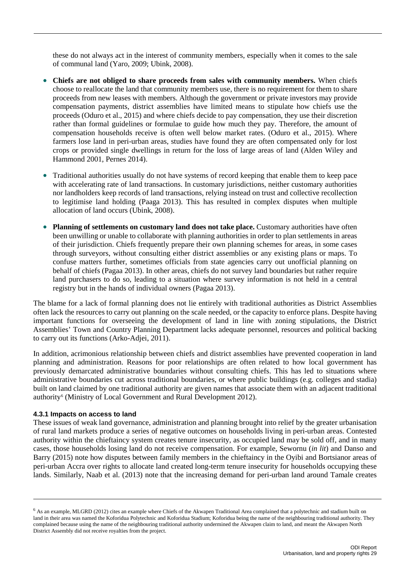these do not always act in the interest of community members, especially when it comes to the sale of communal land (Yaro, 2009; Ubink, 2008).

- **Chiefs are not obliged to share proceeds from sales with community members.** When chiefs choose to reallocate the land that community members use, there is no requirement for them to share proceeds from new leases with members. Although the government or private investors may provide compensation payments, district assemblies have limited means to stipulate how chiefs use the proceeds [\(Oduro et al., 2015\)](#page-49-5) and where chiefs decide to pay compensation, they use their discretion rather than formal guidelines or formulae to guide how much they pay. Therefore, the amount of compensation households receive is often well below market rates. [\(Oduro et al., 2015\)](#page-49-5). Where farmers lose land in peri-urban areas, studies have found they are often compensated only for lost crops or provided single dwellings in return for the loss of large areas of land (Alden Wiley and Hammond 2001, Pernes 2014).
- Traditional authorities usually do not have systems of record keeping that enable them to keep pace with accelerating rate of land transactions. In customary jurisdictions, neither customary authorities nor landholders keep records of land transactions, relying instead on trust and collective recollection to legitimise land holding (Paaga 2013). This has resulted in complex disputes when multiple allocation of land occurs [\(Ubink, 2008\)](#page-50-2).
- **Planning of settlements on customary land does not take place.** Customary authorities have often been unwilling or unable to collaborate with planning authorities in order to plan settlements in areas of their jurisdiction. Chiefs frequently prepare their own planning schemes for areas, in some cases through surveyors, without consulting either district assemblies or any existing plans or maps. To confuse matters further, sometimes officials from state agencies carry out unofficial planning on behalf of chiefs (Pagaa 2013). In other areas, chiefs do not survey land boundaries but rather require land purchasers to do so, leading to a situation where survey information is not held in a central registry but in the hands of individual owners (Pagaa 2013).

The blame for a lack of formal planning does not lie entirely with traditional authorities as District Assemblies often lack the resources to carry out planning on the scale needed, or the capacity to enforce plans. Despite having important functions for overseeing the development of land in line with zoning stipulations, the District Assemblies' Town and Country Planning Department lacks adequate personnel, resources and political backing to carry out its functions [\(Arko-Adjei, 2011\)](#page-47-3).

In addition, acrimonious relationship between chiefs and district assemblies have prevented cooperation in land planning and administration. Reasons for poor relationships are often related to how local government has previously demarcated administrative boundaries without consulting chiefs. This has led to situations where administrative boundaries cut across traditional boundaries, or where public buildings (e.g. colleges and stadia) built on land claimed by one traditional authority are given names that associate them with an adjacent traditional authority<sup>6</sup> (Ministry of Local Government and Rural Development 2012).

#### **4.3.1 Impacts on access to land**

These issues of weak land governance, administration and planning brought into relief by the greater urbanisation of rural land markets produce a series of negative outcomes on households living in peri-urban areas. Contested authority within the chieftaincy system creates tenure insecurity, as occupied land may be sold off, and in many cases, those households losing land do not receive compensation. For example, Sewornu (*in lit*) and Danso and Barry (2015) note how disputes between family members in the chieftaincy in the Oyibi and Bortsianor areas of peri-urban Accra over rights to allocate land created long-term tenure insecurity for households occupying these lands. Similarly, Naab et al. (2013) note that the increasing demand for peri-urban land around Tamale creates

<span id="page-30-0"></span> $<sup>6</sup>$  As an example, MLGRD (2012) cites an example where Chiefs of the Akwapen Traditional Area complained that a polytechnic and stadium built on</sup> land in their area was named the Koforidua Polytechnic and Koforidua Stadium; Koforidua being the name of the neighbouring traditional authority. They complained because using the name of the neighbouring traditional authority undermined the Akwapen claim to land, and meant the Akwapen North District Assembly did not receive royalties from the project.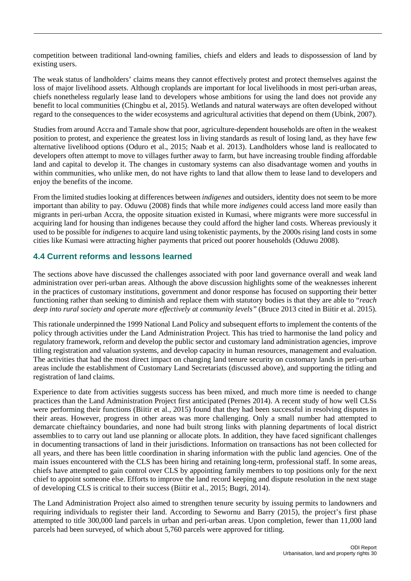competition between traditional land-owning families, chiefs and elders and leads to dispossession of land by existing users.

The weak status of landholders' claims means they cannot effectively protest and protect themselves against the loss of major livelihood assets. Although croplands are important for local livelihoods in most peri-urban areas, chiefs nonetheless regularly lease land to developers whose ambitions for using the land does not provide any benefit to local communities (Chingbu et al, 2015). Wetlands and natural waterways are often developed without regard to the consequences to the wider ecosystems and agricultural activities that depend on them (Ubink, 2007).

Studies from around Accra and Tamale show that poor, agriculture-dependent households are often in the weakest position to protest, and experience the greatest loss in living standards as result of losing land, as they have few alternative livelihood options [\(Oduro et al., 2015;](#page-49-5) Naab et al. 2013). Landholders whose land is reallocated to developers often attempt to move to villages further away to farm, but have increasing trouble finding affordable land and capital to develop it. The changes in customary systems can also disadvantage women and youths in within communities, who unlike men, do not have rights to land that allow them to lease land to developers and enjoy the benefits of the income.

From the limited studies looking at differences between *indigenes* and outsiders, identity does not seem to be more important than ability to pay. Oduwu (2008) finds that while more *indigenes* could access land more easily than migrants in peri-urban Accra, the opposite situation existed in Kumasi, where migrants were more successful in acquiring land for housing than indigenes because they could afford the higher land costs. Whereas previously it used to be possible for *indigenes* to acquire land using tokenistic payments, by the 2000s rising land costs in some cities like Kumasi were attracting higher payments that priced out poorer households (Oduwu 2008).

## <span id="page-31-0"></span>**4.4 Current reforms and lessons learned**

The sections above have discussed the challenges associated with poor land governance overall and weak land administration over peri-urban areas. Although the above discussion highlights some of the weaknesses inherent in the practices of customary institutions, government and donor response has focused on supporting their better functioning rather than seeking to diminish and replace them with statutory bodies is that they are able to "*reach deep into rural society and operate more effectively at community levels"* (Bruce 2013 cited in [Biitir et al. 2015\)](#page-47-4).

This rationale underpinned the 1999 National Land Policy and subsequent efforts to implement the contents of the policy through activities under the Land Administration Project. This has tried to harmonise the land policy and regulatory framework, reform and develop the public sector and customary land administration agencies, improve titling registration and valuation systems, and develop capacity in human resources, management and evaluation. The activities that had the most direct impact on changing land tenure security on customary lands in peri-urban areas include the establishment of Customary Land Secretariats (discussed above), and supporting the titling and registration of land claims.

Experience to date from activities suggests success has been mixed, and much more time is needed to change practices than the Land Administration Project first anticipated (Pernes 2014). A recent study of how well CLSs were performing their functions [\(Biitir et al., 2015\)](#page-47-4) found that they had been successful in resolving disputes in their areas. However, progress in other areas was more challenging. Only a small number had attempted to demarcate chieftaincy boundaries, and none had built strong links with planning departments of local district assemblies to to carry out land use planning or allocate plots. In addition, they have faced significant challenges in documenting transactions of land in their jurisdictions. Information on transactions has not been collected for all years, and there has been little coordination in sharing information with the public land agencies. One of the main issues encountered with the CLS has been hiring and retaining long-term, professional staff. In some areas, chiefs have attempted to gain control over CLS by appointing family members to top positions only for the next chief to appoint someone else. Efforts to improve the land record keeping and dispute resolution in the next stage of developing CLS is critical to their success [\(Biitir et al., 2015;](#page-47-4) [Bugri, 2014\)](#page-47-2).

The Land Administration Project also aimed to strengthen tenure security by issuing permits to landowners and requiring individuals to register their land. According to Sewornu and Barry (2015), the project's first phase attempted to title 300,000 land parcels in urban and peri-urban areas. Upon completion, fewer than 11,000 land parcels had been surveyed, of which about 5,760 parcels were approved for titling.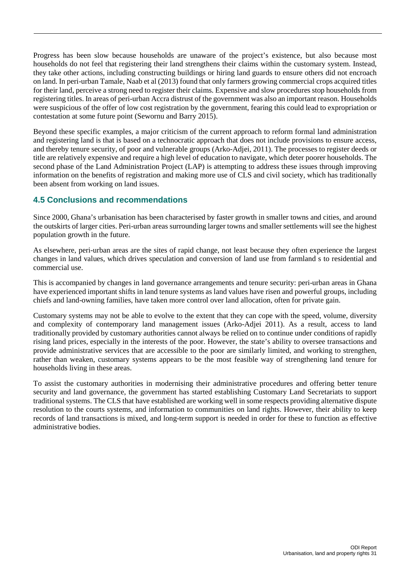Progress has been slow because households are unaware of the project's existence, but also because most households do not feel that registering their land strengthens their claims within the customary system. Instead, they take other actions, including constructing buildings or hiring land guards to ensure others did not encroach on land. In peri-urban Tamale, Naab et al (2013) found that only farmers growing commercial crops acquired titles for their land, perceive a strong need to register their claims. Expensive and slow procedures stop households from registering titles. In areas of peri-urban Accra distrust of the government was also an important reason. Households were suspicious of the offer of low cost registration by the government, fearing this could lead to expropriation or contestation at some future point (Sewornu and Barry 2015).

Beyond these specific examples, a major criticism of the current approach to reform formal land administration and registering land is that is based on a technocratic approach that does not include provisions to ensure access, and thereby tenure security, of poor and vulnerable groups [\(Arko-Adjei, 2011\)](#page-47-3). The processes to register deeds or title are relatively expensive and require a high level of education to navigate, which deter poorer households. The second phase of the Land Administration Project (LAP) is attempting to address these issues through improving information on the benefits of registration and making more use of CLS and civil society, which has traditionally been absent from working on land issues.

## <span id="page-32-0"></span>**4.5 Conclusions and recommendations**

Since 2000, Ghana's urbanisation has been characterised by faster growth in smaller towns and cities, and around the outskirts of larger cities. Peri-urban areas surrounding larger towns and smaller settlements will see the highest population growth in the future.

As elsewhere, peri-urban areas are the sites of rapid change, not least because they often experience the largest changes in land values, which drives speculation and conversion of land use from farmland s to residential and commercial use.

This is accompanied by changes in land governance arrangements and tenure security: peri-urban areas in Ghana have experienced important shifts in land tenure systems as land values have risen and powerful groups, including chiefs and land-owning families, have taken more control over land allocation, often for private gain.

Customary systems may not be able to evolve to the extent that they can cope with the speed, volume, diversity and complexity of contemporary land management issues (Arko-Adjei 2011). As a result, access to land traditionally provided by customary authorities cannot always be relied on to continue under conditions of rapidly rising land prices, especially in the interests of the poor. However, the state's ability to oversee transactions and provide administrative services that are accessible to the poor are similarly limited, and working to strengthen, rather than weaken, customary systems appears to be the most feasible way of strengthening land tenure for households living in these areas.

To assist the customary authorities in modernising their administrative procedures and offering better tenure security and land governance, the government has started establishing Customary Land Secretariats to support traditional systems. The CLS that have established are working well in some respects providing alternative dispute resolution to the courts systems, and information to communities on land rights. However, their ability to keep records of land transactions is mixed, and long-term support is needed in order for these to function as effective administrative bodies.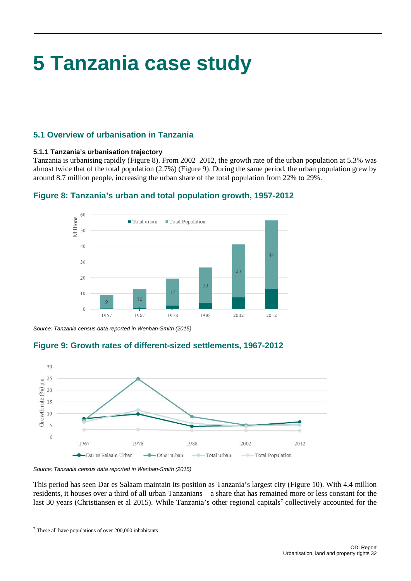# <span id="page-33-0"></span>**5 Tanzania case study**

## <span id="page-33-1"></span>**5.1 Overview of urbanisation in Tanzania**

## **5.1.1 Tanzania's urbanisation trajectory**

Tanzania is urbanising rapidly (Figure 8). From 2002–2012, the growth rate of the urban population at 5.3% was almost twice that of the total population (2.7%) (Figure 9). During the same period, the urban population grew by around 8.7 million people, increasing the urban share of the total population from 22% to 29%.

<span id="page-33-2"></span>

## **Figure 8: Tanzania's urban and total population growth, 1957-2012**

<span id="page-33-3"></span>*Source: Tanzania census data reported in Wenban-Smith (2015)* 

## **Figure 9: Growth rates of different-sized settlements, 1967-2012**



*Source: Tanzania census data reported in Wenban-Smith (2015)* 

This period has seen Dar es Salaam maintain its position as Tanzania's largest city (Figure 10). With 4.4 million residents, it houses over a third of all urban Tanzanians – a share that has remained more or less constant for the last 30 years (Christiansen et al 2015). While Tanzania's other regional capitals<sup>[7](#page-33-4)</sup> collectively accounted for the

<span id="page-33-4"></span> $7$  These all have populations of over 200,000 inhabitants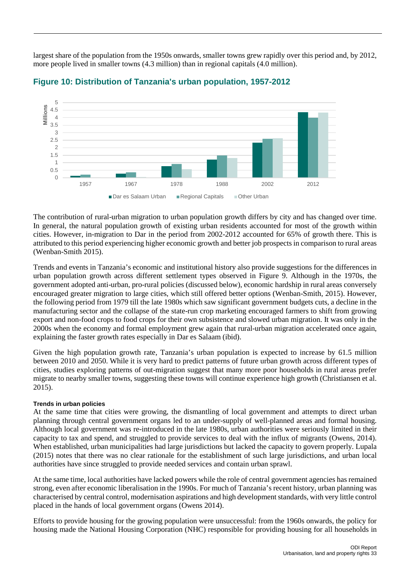largest share of the population from the 1950s onwards, smaller towns grew rapidly over this period and, by 2012, more people lived in smaller towns (4.3 million) than in regional capitals (4.0 million).



## <span id="page-34-0"></span>**Figure 10: Distribution of Tanzania's urban population, 1957-2012**

The contribution of rural-urban migration to urban population growth differs by city and has changed over time. In general, the natural population growth of existing urban residents accounted for most of the growth within cities. However, in-migration to Dar in the period from 2002-2012 accounted for 65% of growth there. This is attributed to this period experiencing higher economic growth and better job prospects in comparison to rural areas (Wenban-Smith 2015).

Trends and events in Tanzania's economic and institutional history also provide suggestions for the differences in urban population growth across different settlement types observed in Figure 9. Although in the 1970s, the government adopted anti-urban, pro-rural policies (discussed below), economic hardship in rural areas conversely encouraged greater migration to large cities, which still offered better options [\(Wenban-Smith, 2015\)](#page-51-1). However, the following period from 1979 till the late 1980s which saw significant government budgets cuts, a decline in the manufacturing sector and the collapse of the state-run crop marketing encouraged farmers to shift from growing export and non-food crops to food crops for their own subsistence and slowed urban migration. It was only in the 2000s when the economy and formal employment grew again that rural-urban migration accelerated once again, explaining the faster growth rates especially in Dar es Salaam (ibid).

Given the high population growth rate, Tanzania's urban population is expected to increase by 61.5 million between 2010 and 2050. While it is very hard to predict patterns of future urban growth across different types of cities, studies exploring patterns of out-migration suggest that many more poor households in rural areas prefer migrate to nearby smaller towns, suggesting these towns will continue experience high growth (Christiansen et al. 2015).

### **Trends in urban policies**

At the same time that cities were growing, the dismantling of local government and attempts to direct urban planning through central government organs led to an under-supply of well-planned areas and formal housing. Although local government was re-introduced in the late 1980s, urban authorities were seriously limited in their capacity to tax and spend, and struggled to provide services to deal with the influx of migrants [\(Owens, 2014\)](#page-49-6). When established, urban municipalities had large jurisdictions but lacked the capacity to govern properly. [Lupala](#page-48-2)  [\(2015\)](#page-48-2) notes that there was no clear rationale for the establishment of such large jurisdictions, and urban local authorities have since struggled to provide needed services and contain urban sprawl.

At the same time, local authorities have lacked powers while the role of central government agencies has remained strong, even after economic liberalisation in the 1990s. For much of Tanzania's recent history, urban planning was characterised by central control, modernisation aspirations and high development standards, with very little control placed in the hands of local government organs (Owens 2014).

Efforts to provide housing for the growing population were unsuccessful: from the 1960s onwards, the policy for housing made the National Housing Corporation (NHC) responsible for providing housing for all households in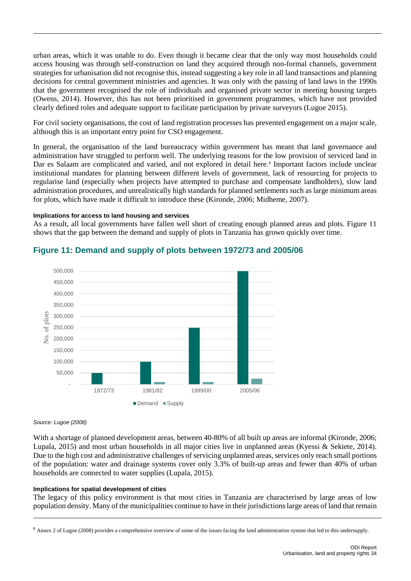urban areas, which it was unable to do. Even though it became clear that the only way most households could access housing was through self-construction on land they acquired through non-formal channels, government strategies for urbanisation did not recognise this, instead suggesting a key role in all land transactions and planning decisions for central government ministries and agencies. It was only with the passing of land laws in the 1990s that the government recognised the role of individuals and organised private sector in meeting housing targets [\(Owens, 2014\)](#page-49-6). However, this has not been prioritised in government programmes, which have not provided clearly defined roles and adequate support to facilitate participation by private surveyors (Lugoe 2015).

For civil society organisations, the cost of land registration processes has prevented engagement on a major scale, although this is an important entry point for CSO engagement.

In general, the organisation of the land bureaucracy within government has meant that land governance and administration have struggled to perform well. The underlying reasons for the low provision of serviced land in Dar es Salaam are complicated and varied, and not explored in detail here.<sup>8</sup> Important factors include unclear institutional mandates for planning between different levels of government, lack of resourcing for projects to regularise land (especially when projects have attempted to purchase and compensate landholders), slow land administration procedures, and unrealistically high standards for planned settlements such as large minimum areas for plots, which have made it difficult to introduce these [\(Kironde, 2006;](#page-48-3) [Midheme, 2007\)](#page-49-7).

#### **Implications for access to land housing and services**

As a result, all local governments have fallen well short of creating enough planned areas and plots. Figure 11 shows that the gap between the demand and supply of plots in Tanzania has grown quickly over time.



## <span id="page-35-0"></span>**Figure 11: Demand and supply of plots between 1972/73 and 2005/06**

#### *Source: Lugoe (2008)*

With a shortage of planned development areas, between 40-80% of all built up areas are informal [\(Kironde, 2006;](#page-48-3) [Lupala, 2015\)](#page-48-2) and most urban households in all major cities live in unplanned areas [\(Kyessi & Sekiete, 2014\)](#page-48-4). Due to the high cost and administrative challenges of servicing unplanned areas, services only reach small portions of the population: water and drainage systems cover only 3.3% of built-up areas and fewer than 40% of urban households are connected to water supplies [\(Lupala, 2015\)](#page-48-2).

#### **Implications for spatial development of cities**

The legacy of this policy environment is that most cities in Tanzania are characterised by large areas of low population density. Many of the municipalities continue to have in their jurisdictions large areas of land that remain

<span id="page-35-1"></span><sup>&</sup>lt;sup>8</sup> Annex 2 of Lugoe (2008) provides a comprehensive overview of some of the issues facing the land administration system that led to this undersupply.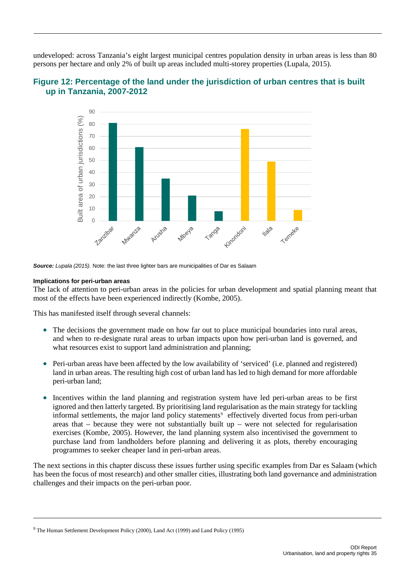undeveloped: across Tanzania's eight largest municipal centres population density in urban areas is less than 80 persons per hectare and only 2% of built up areas included multi-storey properties [\(Lupala, 2015\)](#page-48-2).



<span id="page-36-0"></span>

*Source: Lupala (2015).* Note: the last three lighter bars are municipalities of Dar es Salaam

#### **Implications for peri-urban areas**

The lack of attention to peri-urban areas in the policies for urban development and spatial planning meant that most of the effects have been experienced indirectly [\(Kombe, 2005\)](#page-48-5).

This has manifested itself through several channels:

- The decisions the government made on how far out to place municipal boundaries into rural areas, and when to re-designate rural areas to urban impacts upon how peri-urban land is governed, and what resources exist to support land administration and planning:
- Peri-urban areas have been affected by the low availability of 'serviced' (i.e. planned and registered) land in urban areas. The resulting high cost of urban land has led to high demand for more affordable peri-urban land;
- Incentives within the land planning and registration system have led peri-urban areas to be first ignored and then latterly targeted. By prioritising land regularisation as the main strategy for tackling informal settlements, the major land policy statements<sup>[9](#page-36-1)</sup> effectively diverted focus from peri-urban areas that  $-$  because they were not substantially built up  $-$  were not selected for regularisation exercises [\(Kombe, 2005\)](#page-48-5). However, the land planning system also incentivised the government to purchase land from landholders before planning and delivering it as plots, thereby encouraging programmes to seeker cheaper land in peri-urban areas.

The next sections in this chapter discuss these issues further using specific examples from Dar es Salaam (which has been the focus of most research) and other smaller cities, illustrating both land governance and administration challenges and their impacts on the peri-urban poor.

<span id="page-36-1"></span><sup>9</sup> The Human Settlement Development Policy (2000), Land Act (1999) and Land Policy (1995)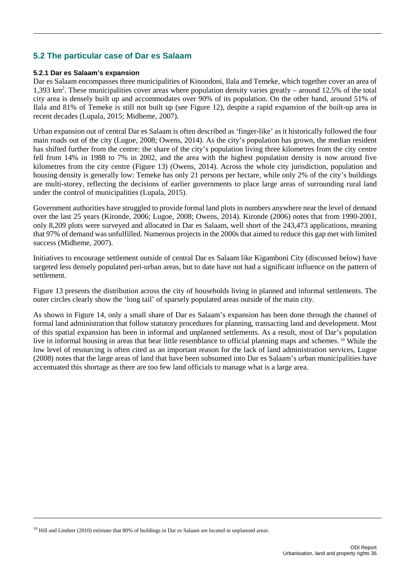## <span id="page-37-0"></span>**5.2 The particular case of Dar es Salaam**

### **5.2.1 Dar es Salaam's expansion**

Dar es Salaam encompasses three municipalities of Kinondoni, Ilala and Temeke, which together cover an area of 1,393 km2 . These municipalities cover areas where population density varies greatly – around 12.5% of the total city area is densely built up and accommodates over 90% of its population. On the other hand, around 51% of Ilala and 81% of Temeke is still not built up (see Figure 12), despite a rapid expansion of the built-up area in recent decades [\(Lupala, 2015;](#page-48-2) [Midheme, 2007\)](#page-49-7).

Urban expansion out of central Dar es Salaam is often described as 'finger-like' as it historically followed the four main roads out of the city [\(Lugoe, 2008;](#page-48-6) [Owens, 2014\)](#page-49-6). As the city's population has grown, the median resident has shifted further from the centre: the share of the city's population living three kilometres from the city centre fell from 14% in 1988 to 7% in 2002, and the area with the highest population density is now around five kilometres from the city centre (Figure 13) [\(Owens, 2014\)](#page-49-6). Across the whole city jurisdiction, population and housing density is generally low: Temeke has only 21 persons per hectare, while only 2% of the city's buildings are multi-storey, reflecting the decisions of earlier governments to place large areas of surrounding rural land under the control of municipalities [\(Lupala, 2015\)](#page-48-2).

Government authorities have struggled to provide formal land plots in numbers anywhere near the level of demand over the last 25 years [\(Kironde, 2006;](#page-48-3) [Lugoe, 2008;](#page-48-6) [Owens, 2014\)](#page-49-6). [Kironde \(2006\)](#page-48-3) notes that from 1990-2001, only 8,209 plots were surveyed and allocated in Dar es Salaam, well short of the 243,473 applications, meaning that 97% of demand was unfulfilled. Numerous projects in the 2000s that aimed to reduce this gap met with limited success [\(Midheme, 2007\)](#page-49-7).

Initiatives to encourage settlement outside of central Dar es Salaam like Kigamboni City (discussed below) have targeted less densely populated peri-urban areas, but to date have not had a significant influence on the pattern of settlement.

Figure 13 presents the distribution across the city of households living in planned and informal settlements. The outer circles clearly show the 'long tail' of sparsely populated areas outside of the main city.

As shown in Figure 14, only a small share of Dar es Salaam's expansion has been done through the channel of formal land administration that follow statutory procedures for planning, transacting land and development. Most of this spatial expansion has been in informal and unplanned settlements. As a result, most of Dar's population live in informal housing in areas that bear little resemblance to official planning maps and schemes. [10](#page-37-1) While the low level of resourcing is often cited as an important reason for the lack of land administration services, Lugoe (2008) notes that the large areas of land that have been subsumed into Dar es Salaam's urban municipalities have accentuated this shortage as there are too few land officials to manage what is a large area.

<span id="page-37-1"></span> $10$  Hill and Lindner (2010) estimate that 80% of buildings in Dar es Salaam are located in unplanned areas.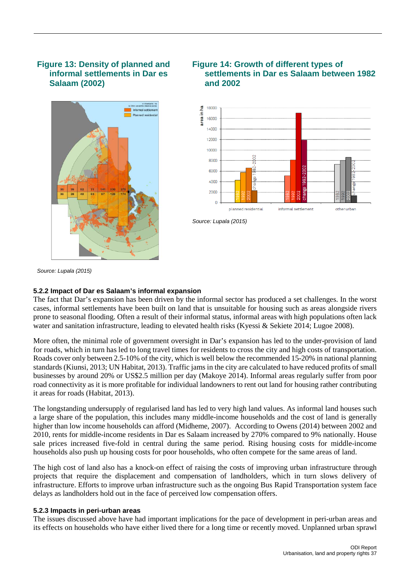## <span id="page-38-0"></span>**Figure 13: Density of planned and informal settlements in Dar es Salaam (2002)**



## <span id="page-38-1"></span>**Figure 14: Growth of different types of settlements in Dar es Salaam between 1982 and 2002**



*Source: Lupala (2015)*

*Source: Lupala (2015)*

### **5.2.2 Impact of Dar es Salaam's informal expansion**

The fact that Dar's expansion has been driven by the informal sector has produced a set challenges. In the worst cases, informal settlements have been built on land that is unsuitable for housing such as areas alongside rivers prone to seasonal flooding. Often a result of their informal status, informal areas with high populations often lack water and sanitation infrastructure, leading to elevated health risks [\(Kyessi & Sekiete 2014;](#page-48-4) [Lugoe 2008\)](#page-48-6).

More often, the minimal role of government oversight in Dar's expansion has led to the under-provision of land for roads, which in turn has led to long travel times for residents to cross the city and high costs of transportation. Roads cover only between 2.5-10% of the city, which is well below the recommended 15-20% in national planning standards [\(Kiunsi, 2013;](#page-48-7) [UN Habitat, 2013\)](#page-50-3). Traffic jams in the city are calculated to have reduced profits of small businesses by around 20% or US\$2.5 million per day (Makoye 2014). Informal areas regularly suffer from poor road connectivity as it is more profitable for individual landowners to rent out land for housing rather contributing it areas for roads [\(Habitat, 2013\)](#page-51-2).

The longstanding undersupply of regularised land has led to very high land values. As informal land houses such a large share of the population, this includes many middle-income households and the cost of land is generally higher than low income households can afford [\(Midheme, 2007\)](#page-49-7). According to [Owens \(2014\)](#page-49-6) between 2002 and 2010, rents for middle-income residents in Dar es Salaam increased by 270% compared to 9% nationally. House sale prices increased five-fold in central during the same period. Rising housing costs for middle-income households also push up housing costs for poor households, who often compete for the same areas of land.

The high cost of land also has a knock-on effect of raising the costs of improving urban infrastructure through projects that require the displacement and compensation of landholders, which in turn slows delivery of infrastructure. Efforts to improve urban infrastructure such as the ongoing Bus Rapid Transportation system face delays as landholders hold out in the face of perceived low compensation offers.

#### **5.2.3 Impacts in peri-urban areas**

The issues discussed above have had important implications for the pace of development in peri-urban areas and its effects on households who have either lived there for a long time or recently moved. Unplanned urban sprawl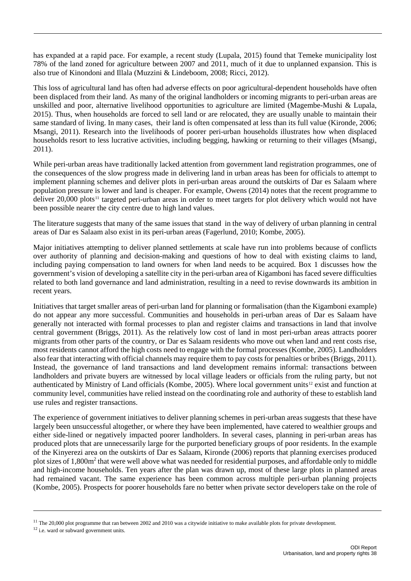has expanded at a rapid pace. For example, a recent study [\(Lupala, 2015\)](#page-48-2) found that Temeke municipality lost 78% of the land zoned for agriculture between 2007 and 2011, much of it due to unplanned expansion. This is also true of Kinondoni and Illala [\(Muzzini & Lindeboom, 2008;](#page-49-8) [Ricci, 2012\)](#page-50-4).

This loss of agricultural land has often had adverse effects on poor agricultural-dependent households have often been displaced from their land. As many of the original landholders or incoming migrants to peri-urban areas are unskilled and poor, alternative livelihood opportunities to agriculture are limited [\(Magembe-Mushi & Lupala,](#page-48-8)  [2015\)](#page-48-8). Thus, when households are forced to sell land or are relocated, they are usually unable to maintain their same standard of living. In many cases, their land is often compensated at less than its full value [\(Kironde, 2006;](#page-48-3) [Msangi, 2011\)](#page-49-9). Research into the livelihoods of poorer peri-urban households illustrates how when displaced households resort to less lucrative activities, including begging, hawking or returning to their villages [\(Msangi,](#page-49-9)  [2011\)](#page-49-9).

While peri-urban areas have traditionally lacked attention from government land registration programmes, one of the consequences of the slow progress made in delivering land in urban areas has been for officials to attempt to implement planning schemes and deliver plots in peri-urban areas around the outskirts of Dar es Salaam where population pressure is lower and land is cheaper. For example, [Owens \(2014\)](#page-49-6) notes that the recent programme to deliver 20,000 plots<sup>[11](#page-39-0)</sup> targeted peri-urban areas in order to meet targets for plot delivery which would not have been possible nearer the city centre due to high land values.

The literature suggests that many of the same issues that stand in the way of delivery of urban planning in central areas of Dar es Salaam also exist in its peri-urban areas (Fagerlund, 2010[; Kombe, 2005\)](#page-48-5).

Major initiatives attempting to deliver planned settlements at scale have run into problems because of conflicts over authority of planning and decision-making and questions of how to deal with existing claims to land, including paying compensation to land owners for when land needs to be acquired. Box 1 discusses how the government's vision of developing a satellite city in the peri-urban area of Kigamboni has faced severe difficulties related to both land governance and land administration, resulting in a need to revise downwards its ambition in recent years.

Initiatives that target smaller areas of peri-urban land for planning or formalisation (than the Kigamboni example) do not appear any more successful. Communities and households in peri-urban areas of Dar es Salaam have generally not interacted with formal processes to plan and register claims and transactions in land that involve central government [\(Briggs, 2011\)](#page-47-5). As the relatively low cost of land in most peri-urban areas attracts poorer migrants from other parts of the country, or Dar es Salaam residents who move out when land and rent costs rise, most residents cannot afford the high costs need to engage with the formal processes [\(Kombe, 2005\)](#page-48-5). Landholders also fear that interacting with official channels may require them to pay costs for penalties or bribes [\(Briggs, 2011\)](#page-47-5). Instead, the governance of land transactions and land development remains informal: transactions between landholders and private buyers are witnessed by local village leaders or officials from the ruling party, but not authenticated by Ministry of Land officials [\(Kombe, 2005\)](#page-48-5). Where local government units<sup>[12](#page-39-1)</sup> exist and function at community level, communities have relied instead on the coordinating role and authority of these to establish land use rules and register transactions.

The experience of government initiatives to deliver planning schemes in peri-urban areas suggests that these have largely been unsuccessful altogether, or where they have been implemented, have catered to wealthier groups and either side-lined or negatively impacted poorer landholders. In several cases, planning in peri-urban areas has produced plots that are unnecessarily large for the purported beneficiary groups of poor residents. In the example of the Kinyerezi area on the outskirts of Dar es Salaam, [Kironde \(2006\)](#page-48-3) reports that planning exercises produced plot sizes of 1,800m2 that were well above what was needed for residential purposes, and affordable only to middle and high-income households. Ten years after the plan was drawn up, most of these large plots in planned areas had remained vacant. The same experience has been common across multiple peri-urban planning projects [\(Kombe, 2005\)](#page-48-5). Prospects for poorer households fare no better when private sector developers take on the role of

<span id="page-39-0"></span><sup>&</sup>lt;sup>11</sup> The 20,000 plot programme that ran between 2002 and 2010 was a citywide initiative to make available plots for private development. <sup>12</sup> i.e. ward or subward government units.

<span id="page-39-1"></span>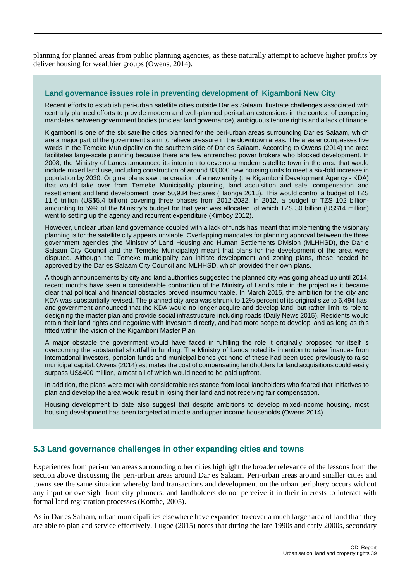planning for planned areas from public planning agencies, as these naturally attempt to achieve higher profits by deliver housing for wealthier groups [\(Owens, 2014\)](#page-49-6).

### <span id="page-40-1"></span>**Land governance issues role in preventing development of Kigamboni New City**

Recent efforts to establish peri-urban satellite cities outside Dar es Salaam illustrate challenges associated with centrally planned efforts to provide modern and well-planned peri-urban extensions in the context of competing mandates between government bodies (unclear land governance), ambiguous tenure rights and a lack of finance.

Kigamboni is one of the six satellite cities planned for the peri-urban areas surrounding Dar es Salaam, which are a major part of the government's aim to relieve pressure in the downtown areas. The area encompasses five wards in the Temeke Municipality on the southern side of Dar es Salaam. According to Owens (2014) the area facilitates large-scale planning because there are few entrenched power brokers who blocked development. In 2008, the Ministry of Lands announced its intention to develop a modern satellite town in the area that would include mixed land use, including construction of around 83,000 new housing units to meet a six-fold increase in population by 2030. Original plans saw the creation of a new entity (the Kigamboni Development Agency - KDA) that would take over from Temeke Municipality planning, land acquisition and sale, compensation and resettlement and land development over 50,934 hectares (Haonga 2013). This would control a budget of TZS 11.6 trillion (US\$5.4 billion) covering three phases from 2012-2032. In 2012, a budget of TZS 102 billionamounting to 59% of the Ministry's budget for that year was allocated, of which TZS 30 billion (US\$14 million) went to setting up the agency and recurrent expenditure (Kimboy 2012).

However, unclear urban land governance coupled with a lack of funds has meant that implementing the visionary planning is for the satellite city appears unviable. Overlapping mandates for planning approval between the three government agencies (the Ministry of Land Housing and Human Settlements Division (MLHHSD), the Dar e Salaam City Council and the Temeke Municipality) meant that plans for the development of the area were disputed. Although the Temeke municipality can initiate development and zoning plans, these needed be approved by the Dar es Salaam City Council and MLHHSD, which provided their own plans.

Although announcements by city and land authorities suggested the planned city was going ahead up until 2014, recent months have seen a considerable contraction of the Ministry of Land's role in the project as it became clear that political and financial obstacles proved insurmountable. In March 2015, the ambition for the city and KDA was substantially revised. The planned city area was shrunk to 12% percent of its original size to 6,494 has, and government announced that the KDA would no longer acquire and develop land, but rather limit its role to designing the master plan and provide social infrastructure including roads (Daily News 2015). Residents would retain their land rights and negotiate with investors directly, and had more scope to develop land as long as this fitted within the vision of the Kigamboni Master Plan.

A major obstacle the government would have faced in fulfilling the role it originally proposed for itself is overcoming the substantial shortfall in funding. The Ministry of Lands noted its intention to raise finances from international investors, pension funds and municipal bonds yet none of these had been used previously to raise municipal capital. Owens (2014) estimates the cost of compensating landholders for land acquisitions could easily surpass US\$400 million, almost all of which would need to be paid upfront.

In addition, the plans were met with considerable resistance from local landholders who feared that initiatives to plan and develop the area would result in losing their land and not receiving fair compensation.

Housing development to date also suggest that despite ambitions to develop mixed-income housing, most housing development has been targeted at middle and upper income households (Owens 2014).

## <span id="page-40-0"></span>**5.3 Land governance challenges in other expanding cities and towns**

Experiences from peri-urban areas surrounding other cities highlight the broader relevance of the lessons from the section above discussing the peri-urban areas around Dar es Salaam. Peri-urban areas around smaller cities and towns see the same situation whereby land transactions and development on the urban periphery occurs without any input or oversight from city planners, and landholders do not perceive it in their interests to interact with formal land registration processes [\(Kombe, 2005\)](#page-48-5).

As in Dar es Salaam, urban municipalities elsewhere have expanded to cover a much larger area of land than they are able to plan and service effectively. Lugoe (2015) notes that during the late 1990s and early 2000s, secondary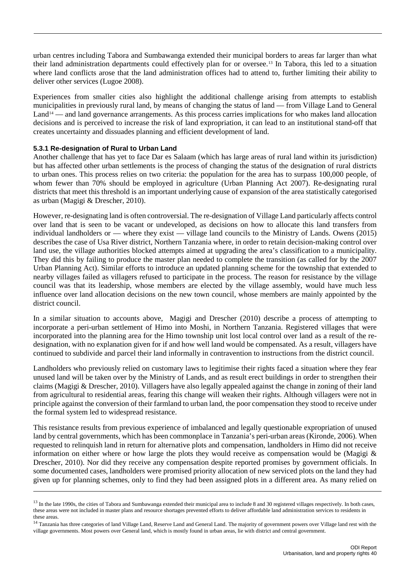urban centres including Tabora and Sumbawanga extended their municipal borders to areas far larger than what their land administration departments could effectively plan for or oversee.[13](#page-41-0) In Tabora, this led to a situation where land conflicts arose that the land administration offices had to attend to, further limiting their ability to deliver other services (Lugoe 2008).

Experiences from smaller cities also highlight the additional challenge arising from attempts to establish municipalities in previously rural land, by means of changing the status of land — from Village Land to General Land<sup>[14](#page-41-1)</sup> — and land governance arrangements. As this process carries implications for who makes land allocation decisions and is perceived to increase the risk of land expropriation, it can lead to an institutional stand-off that creates uncertainty and dissuades planning and efficient development of land.

### **5.3.1 Re-designation of Rural to Urban Land**

Another challenge that has yet to face Dar es Salaam (which has large areas of rural land within its jurisdiction) but has affected other urban settlements is the process of changing the status of the designation of rural districts to urban ones. This process relies on two criteria: the population for the area has to surpass 100,000 people, of whom fewer than 70% should be employed in agriculture (Urban Planning Act 2007). Re-designating rural districts that meet this threshold is an important underlying cause of expansion of the area statistically categorised as urban [\(Magigi & Drescher, 2010\)](#page-49-10).

However, re-designating land is often controversial. The re-designation of Village Land particularly affects control over land that is seen to be vacant or undeveloped, as decisions on how to allocate this land transfers from individual landholders or — where they exist — village land councils to the Ministry of Lands. Owens (2015) describes the case of Usa River district, Northern Tanzania where, in order to retain decision-making control over land use, the village authorities blocked attempts aimed at upgrading the area's classification to a municipality. They did this by failing to produce the master plan needed to complete the transition (as called for by the 2007 Urban Planning Act). Similar efforts to introduce an updated planning scheme for the township that extended to nearby villages failed as villagers refused to participate in the process. The reason for resistance by the village council was that its leadership, whose members are elected by the village assembly, would have much less influence over land allocation decisions on the new town council, whose members are mainly appointed by the district council.

In a similar situation to accounts above, [Magigi and Drescher \(2010\)](#page-49-10) describe a process of attempting to incorporate a peri-urban settlement of Himo into Moshi, in Northern Tanzania. Registered villages that were incorporated into the planning area for the Himo township unit lost local control over land as a result of the redesignation, with no explanation given for if and how well land would be compensated. As a result, villagers have continued to subdivide and parcel their land informally in contravention to instructions from the district council.

Landholders who previously relied on customary laws to legitimise their rights faced a situation where they fear unused land will be taken over by the Ministry of Lands, and as result erect buildings in order to strengthen their claims [\(Magigi & Drescher, 2010\)](#page-49-10). Villagers have also legally appealed against the change in zoning of their land from agricultural to residential areas, fearing this change will weaken their rights. Although villagers were not in principle against the conversion of their farmland to urban land, the poor compensation they stood to receive under the formal system led to widespread resistance.

This resistance results from previous experience of imbalanced and legally questionable expropriation of unused land by central governments, which has been commonplace in Tanzania's peri-urban areas [\(Kironde, 2006\)](#page-48-3). When requested to relinquish land in return for alternative plots and compensation, landholders in Himo did not receive information on either where or how large the plots they would receive as compensation would be [\(Magigi &](#page-49-10)  [Drescher, 2010\)](#page-49-10). Nor did they receive any compensation despite reported promises by government officials. In some documented cases, landholders were promised priority allocation of new serviced plots on the land they had given up for planning schemes, only to find they had been assigned plots in a different area. As many relied on

<span id="page-41-0"></span><sup>&</sup>lt;sup>13</sup> In the late 1990s, the cities of Tabora and Sumbawanga extended their municipal area to include 8 and 30 registered villages respectively. In both cases, these areas were not included in master plans and resource shortages prevented efforts to deliver affordable land administration services to residents in these areas.

<span id="page-41-1"></span><sup>&</sup>lt;sup>14</sup> Tanzania has three categories of land Village Land, Reserve Land and General Land. The majority of government powers over Village land rest with the village governments. Most powers over General land, which is mostly found in urban areas, lie with district and central government.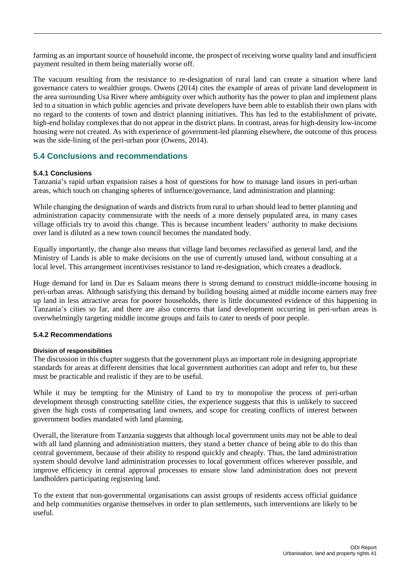farming as an important source of household income, the prospect of receiving worse quality land and insufficient payment resulted in them being materially worse off.

The vacuum resulting from the resistance to re-designation of rural land can create a situation where land governance caters to wealthier groups. [Owens \(2014\)](#page-49-6) cites the example of areas of private land development in the area surrounding Usa River where ambiguity over which authority has the power to plan and implement plans led to a situation in which public agencies and private developers have been able to establish their own plans with no regard to the contents of town and district planning initiatives. This has led to the establishment of private, high-end holiday complexes that do not appear in the district plans. In contrast, areas for high-density low-income housing were not created. As with experience of government-led planning elsewhere, the outcome of this process was the side-lining of the peri-urban poor [\(Owens, 2014\)](#page-49-6).

## <span id="page-42-0"></span>**5.4 Conclusions and recommendations**

### **5.4.1 Conclusions**

Tanzania's rapid urban expansion raises a host of questions for how to manage land issues in peri-urban areas, which touch on changing spheres of influence/governance, land administration and planning:

While changing the designation of wards and districts from rural to urban should lead to better planning and administration capacity commensurate with the needs of a more densely populated area, in many cases village officials try to avoid this change. This is because incumbent leaders' authority to make decisions over land is diluted as a new town council becomes the mandated body.

Equally importantly, the change also means that village land becomes reclassified as general land, and the Ministry of Lands is able to make decisions on the use of currently unused land, without consulting at a local level. This arrangement incentivises resistance to land re-designation, which creates a deadlock.

Huge demand for land in Dar es Salaam means there is strong demand to construct middle-income housing in peri-urban areas. Although satisfying this demand by building housing aimed at middle income earners may free up land in less attractive areas for poorer households, there is little documented evidence of this happening in Tanzania's cities so far, and there are also concerns that land development occurring in peri-urban areas is overwhelmingly targeting middle income groups and fails to cater to needs of poor people.

### **5.4.2 Recommendations**

#### **Division of responsibilities**

The discussion in this chapter suggests that the government plays an important role in designing appropriate standards for areas at different densities that local government authorities can adopt and refer to, but these must be practicable and realistic if they are to be useful.

While it may be tempting for the Ministry of Land to try to monopolise the process of peri-urban development through constructing satellite cities, the experience suggests that this is unlikely to succeed given the high costs of compensating land owners, and scope for creating conflicts of interest between government bodies mandated with land planning.

Overall, the literature from Tanzania suggests that although local government units may not be able to deal with all land planning and administration matters, they stand a better chance of being able to do this than central government, because of their ability to respond quickly and cheaply. Thus, the land administration system should devolve land administration processes to local government offices wherever possible, and improve efficiency in central approval processes to ensure slow land administration does not prevent landholders participating registering land.

To the extent that non-governmental organisations can assist groups of residents access official guidance and help communities organise themselves in order to plan settlements, such interventions are likely to be useful.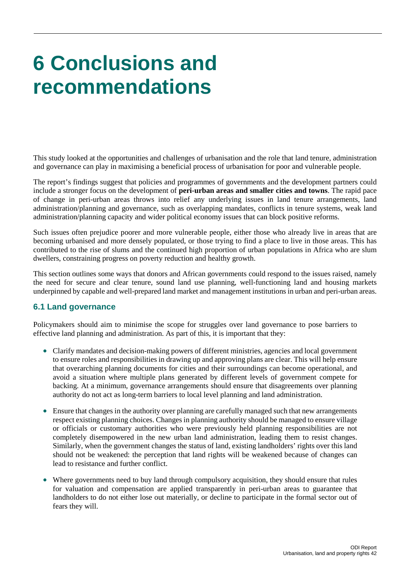## <span id="page-43-0"></span>**6 Conclusions and recommendations**

This study looked at the opportunities and challenges of urbanisation and the role that land tenure, administration and governance can play in maximising a beneficial process of urbanisation for poor and vulnerable people.

The report's findings suggest that policies and programmes of governments and the development partners could include a stronger focus on the development of **peri-urban areas and smaller cities and towns**. The rapid pace of change in peri-urban areas throws into relief any underlying issues in land tenure arrangements, land administration/planning and governance, such as overlapping mandates, conflicts in tenure systems, weak land administration/planning capacity and wider political economy issues that can block positive reforms.

Such issues often prejudice poorer and more vulnerable people, either those who already live in areas that are becoming urbanised and more densely populated, or those trying to find a place to live in those areas. This has contributed to the rise of slums and the continued high proportion of urban populations in Africa who are slum dwellers, constraining progress on poverty reduction and healthy growth.

This section outlines some ways that donors and African governments could respond to the issues raised, namely the need for secure and clear tenure, sound land use planning, well-functioning land and housing markets underpinned by capable and well-prepared land market and management institutions in urban and peri-urban areas.

## <span id="page-43-1"></span>**6.1 Land governance**

Policymakers should aim to minimise the scope for struggles over land governance to pose barriers to effective land planning and administration. As part of this, it is important that they:

- Clarify mandates and decision-making powers of different ministries, agencies and local government to ensure roles and responsibilities in drawing up and approving plans are clear. This will help ensure that overarching planning documents for cities and their surroundings can become operational, and avoid a situation where multiple plans generated by different levels of government compete for backing. At a minimum, governance arrangements should ensure that disagreements over planning authority do not act as long-term barriers to local level planning and land administration.
- Ensure that changes in the authority over planning are carefully managed such that new arrangements respect existing planning choices. Changes in planning authority should be managed to ensure village or officials or customary authorities who were previously held planning responsibilities are not completely disempowered in the new urban land administration, leading them to resist changes. Similarly, when the government changes the status of land, existing landholders' rights over this land should not be weakened: the perception that land rights will be weakened because of changes can lead to resistance and further conflict.
- Where governments need to buy land through compulsory acquisition, they should ensure that rules for valuation and compensation are applied transparently in peri-urban areas to guarantee that landholders to do not either lose out materially, or decline to participate in the formal sector out of fears they will.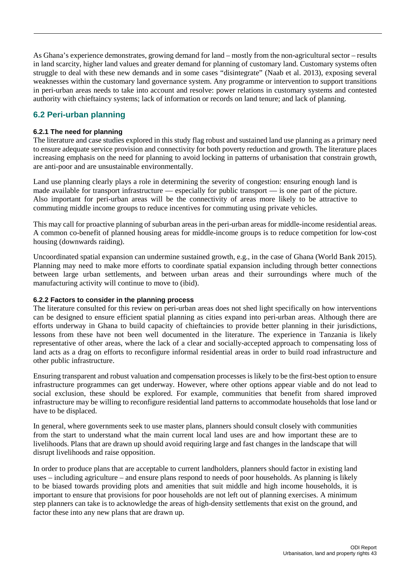As Ghana's experience demonstrates, growing demand for land – mostly from the non-agricultural sector – results in land scarcity, higher land values and greater demand for planning of customary land. Customary systems often struggle to deal with these new demands and in some cases "disintegrate" (Naab et al. 2013), exposing several weaknesses within the customary land governance system. Any programme or intervention to support transitions in peri-urban areas needs to take into account and resolve: power relations in customary systems and contested authority with chieftaincy systems; lack of information or records on land tenure; and lack of planning.

## <span id="page-44-0"></span>**6.2 Peri-urban planning**

## **6.2.1 The need for planning**

The literature and case studies explored in this study flag robust and sustained land use planning as a primary need to ensure adequate service provision and connectivity for both poverty reduction and growth. The literature places increasing emphasis on the need for planning to avoid locking in patterns of urbanisation that constrain growth, are anti-poor and are unsustainable environmentally.

Land use planning clearly plays a role in determining the severity of congestion: ensuring enough land is made available for transport infrastructure — especially for public transport — is one part of the picture. Also important for peri-urban areas will be the connectivity of areas more likely to be attractive to commuting middle income groups to reduce incentives for commuting using private vehicles.

This may call for proactive planning of suburban areas in the peri-urban areas for middle-income residential areas. A common co-benefit of planned housing areas for middle-income groups is to reduce competition for low-cost housing (downwards raiding).

Uncoordinated spatial expansion can undermine sustained growth, e.g., in the case of Ghana (World Bank 2015). Planning may need to make more efforts to coordinate spatial expansion including through better connections between large urban settlements, and between urban areas and their surroundings where much of the manufacturing activity will continue to move to (ibid).

### **6.2.2 Factors to consider in the planning process**

The literature consulted for this review on peri-urban areas does not shed light specifically on how interventions can be designed to ensure efficient spatial planning as cities expand into peri-urban areas. Although there are efforts underway in Ghana to build capacity of chieftaincies to provide better planning in their jurisdictions, lessons from these have not been well documented in the literature. The experience in Tanzania is likely representative of other areas, where the lack of a clear and socially-accepted approach to compensating loss of land acts as a drag on efforts to reconfigure informal residential areas in order to build road infrastructure and other public infrastructure.

Ensuring transparent and robust valuation and compensation processes is likely to be the first-best option to ensure infrastructure programmes can get underway. However, where other options appear viable and do not lead to social exclusion, these should be explored. For example, communities that benefit from shared improved infrastructure may be willing to reconfigure residential land patterns to accommodate households that lose land or have to be displaced.

In general, where governments seek to use master plans, planners should consult closely with communities from the start to understand what the main current local land uses are and how important these are to livelihoods. Plans that are drawn up should avoid requiring large and fast changes in the landscape that will disrupt livelihoods and raise opposition.

In order to produce plans that are acceptable to current landholders, planners should factor in existing land uses – including agriculture – and ensure plans respond to needs of poor households. As planning is likely to be biased towards providing plots and amenities that suit middle and high income households, it is important to ensure that provisions for poor households are not left out of planning exercises. A minimum step planners can take is to acknowledge the areas of high-density settlements that exist on the ground, and factor these into any new plans that are drawn up.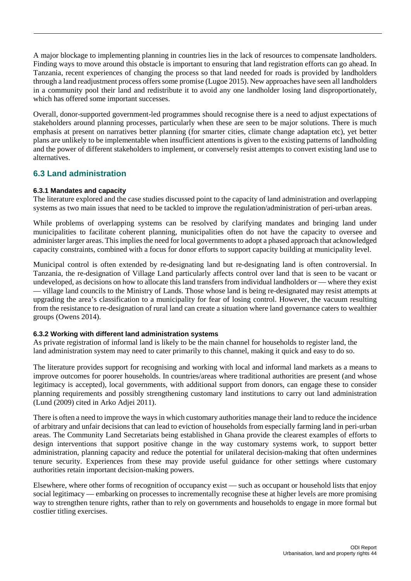A major blockage to implementing planning in countries lies in the lack of resources to compensate landholders. Finding ways to move around this obstacle is important to ensuring that land registration efforts can go ahead. In Tanzania, recent experiences of changing the process so that land needed for roads is provided by landholders through a land readjustment process offers some promise (Lugoe 2015). New approaches have seen all landholders in a community pool their land and redistribute it to avoid any one landholder losing land disproportionately, which has offered some important successes.

Overall, donor-supported government-led programmes should recognise there is a need to adjust expectations of stakeholders around planning processes, particularly when these are seen to be major solutions. There is much emphasis at present on narratives better planning (for smarter cities, climate change adaptation etc), yet better plans are unlikely to be implementable when insufficient attentions is given to the existing patterns of landholding and the power of different stakeholders to implement, or conversely resist attempts to convert existing land use to alternatives.

## <span id="page-45-0"></span>**6.3 Land administration**

## **6.3.1 Mandates and capacity**

The literature explored and the case studies discussed point to the capacity of land administration and overlapping systems as two main issues that need to be tackled to improve the regulation/administration of peri-urban areas.

While problems of overlapping systems can be resolved by clarifying mandates and bringing land under municipalities to facilitate coherent planning, municipalities often do not have the capacity to oversee and administer larger areas. This implies the need for local governments to adopt a phased approach that acknowledged capacity constraints, combined with a focus for donor efforts to support capacity building at municipality level.

Municipal control is often extended by re-designating land but re-designating land is often controversial. In Tanzania, the re-designation of Village Land particularly affects control over land that is seen to be vacant or undeveloped, as decisions on how to allocate this land transfers from individual landholders or — where they exist — village land councils to the Ministry of Lands. Those whose land is being re-designated may resist attempts at upgrading the area's classification to a municipality for fear of losing control. However, the vacuum resulting from the resistance to re-designation of rural land can create a situation where land governance caters to wealthier groups (Owens 2014).

### **6.3.2 Working with different land administration systems**

As private registration of informal land is likely to be the main channel for households to register land, the land administration system may need to cater primarily to this channel, making it quick and easy to do so.

The literature provides support for recognising and working with local and informal land markets as a means to improve outcomes for poorer households. In countries/areas where traditional authorities are present (and whose legitimacy is accepted), local governments, with additional support from donors, can engage these to consider planning requirements and possibly strengthening customary land institutions to carry out land administration (Lund (2009) cited in Arko Adjei 2011).

There is often a need to improve the ways in which customary authorities manage their land to reduce the incidence of arbitrary and unfair decisions that can lead to eviction of households from especially farming land in peri-urban areas. The Community Land Secretariats being established in Ghana provide the clearest examples of efforts to design interventions that support positive change in the way customary systems work, to support better administration, planning capacity and reduce the potential for unilateral decision-making that often undermines tenure security. Experiences from these may provide useful guidance for other settings where customary authorities retain important decision-making powers.

Elsewhere, where other forms of recognition of occupancy exist — such as occupant or household lists that enjoy social legitimacy — embarking on processes to incrementally recognise these at higher levels are more promising way to strengthen tenure rights, rather than to rely on governments and households to engage in more formal but costlier titling exercises.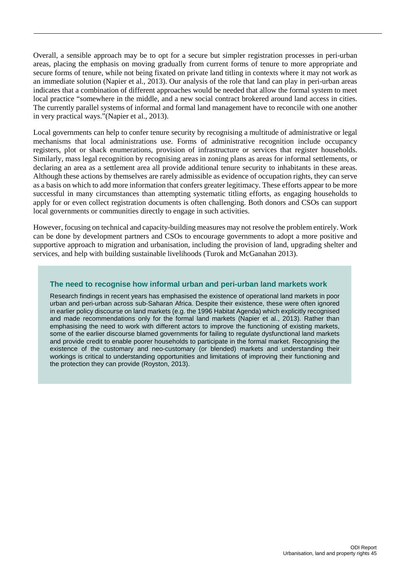Overall, a sensible approach may be to opt for a secure but simpler registration processes in peri-urban areas, placing the emphasis on moving gradually from current forms of tenure to more appropriate and secure forms of tenure, while not being fixated on private land titling in contexts where it may not work as an immediate solution [\(Napier et al., 2013\)](#page-49-1). Our analysis of the role that land can play in peri-urban areas indicates that a combination of different approaches would be needed that allow the formal system to meet local practice "somewhere in the middle, and a new social contract brokered around land access in cities. The currently parallel systems of informal and formal land management have to reconcile with one another in very practical ways."[\(Napier et al., 2013\)](#page-49-1).

Local governments can help to confer tenure security by recognising a multitude of administrative or legal mechanisms that local administrations use. Forms of administrative recognition include occupancy registers, plot or shack enumerations, provision of infrastructure or services that register households. Similarly, mass legal recognition by recognising areas in zoning plans as areas for informal settlements, or declaring an area as a settlement area all provide additional tenure security to inhabitants in these areas. Although these actions by themselves are rarely admissible as evidence of occupation rights, they can serve as a basis on which to add more information that confers greater legitimacy. These efforts appear to be more successful in many circumstances than attempting systematic titling efforts, as engaging households to apply for or even collect registration documents is often challenging. Both donors and CSOs can support local governments or communities directly to engage in such activities.

However, focusing on technical and capacity-building measures may not resolve the problem entirely. Work can be done by development partners and CSOs to encourage governments to adopt a more positive and supportive approach to migration and urbanisation, including the provision of land, upgrading shelter and services, and help with building sustainable livelihoods (Turok and McGanahan 2013).

### <span id="page-46-0"></span>**The need to recognise how informal urban and peri-urban land markets work**

Research findings in recent years has emphasised the existence of operational land markets in poor urban and peri-urban across sub-Saharan Africa. Despite their existence, these were often ignored in earlier policy discourse on land markets (e.g. the 1996 Habitat Agenda) which explicitly recognised and made recommendations only for the formal land markets [\(Napier et al., 2013\)](#page-49-1). Rather than emphasising the need to work with different actors to improve the functioning of existing markets, some of the earlier discourse blamed governments for failing to regulate dysfunctional land markets and provide credit to enable poorer households to participate in the formal market. Recognising the existence of the customary and neo-customary (or blended) markets and understanding their workings is critical to understanding opportunities and limitations of improving their functioning and the protection they can provide (Royston, 2013).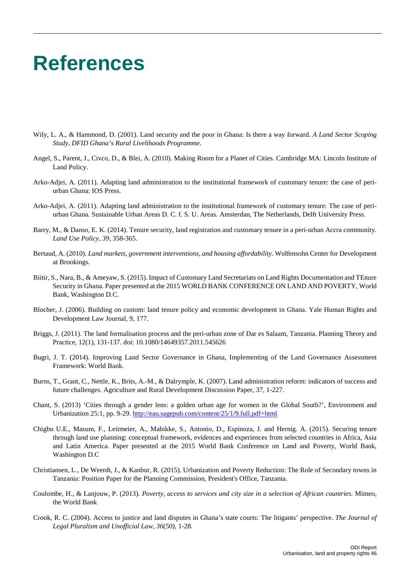## <span id="page-47-0"></span>**References**

- <span id="page-47-1"></span>Wily, L. A., & Hammond, D. (2001). Land security and the poor in Ghana: Is there a way forward. *A Land Sector Scoping Study, DFID Ghana's Rural Livelihoods Programme*.
- Angel, S., Parent, J., Civco, D., & Blei, A. (2010). Making Room for a Planet of Cities. Cambridge MA: Lincoln Institute of Land Policy.
- <span id="page-47-3"></span>Arko-Adjei, A. (2011). Adapting land administration to the institutional framework of customary tenure: the case of periurban Ghana: IOS Press.
- Arko-Adjei, A. (2011). Adapting land administration to the institutional framework of customary tenure: The case of periurban Ghana. Sustainable Urban Areas D. C. f. S. U. Areas. Amsterdan, The Netherlands, Delft University Press.
- <span id="page-47-4"></span>Barry, M., & Danso, E. K. (2014). Tenure security, land registration and customary tenure in a peri-urban Accra community. *Land Use Policy*, *39*, 358-365.
- Bertaud, A. (2010). *Land markets, government interventions, and housing affordability*. Wolfensohn Center for Development at Brookings.
- Biitir, S., Nara, B., & Ameyaw, S. (2015). Impact of Customary Land Secretariats on Land Rights Documentation and TEnure Security in Ghana. Paper presented at the 2015 WORLD BANK CONFERENCE ON LAND AND POVERTY, World Bank, Washington D.C.
- Blocher, J. (2006). Building on custom: land tenure policy and economic development in Ghana. Yale Human Rights and Development Law Journal, 9, 177.
- <span id="page-47-5"></span>Briggs, J. (2011). The land formalisation process and the peri-urban zone of Dar es Salaam, Tanzania. Planning Theory and Practice, 12(1), 131-137. doi: 10.1080/14649357.2011.545626
- <span id="page-47-2"></span>Bugri, J. T. (2014). Improving Land Sector Governance in Ghana, Implementing of the Land Governance Assessment Framework: World Bank.
- Burns, T., Grant, C., Nettle, K., Brits, A.-M., & Dalrymple, K. (2007). Land administration reform: indicators of success and future challenges. Agriculture and Rural Development Discussion Paper, 37, 1-227.
- Chant, S. (2013) 'Cities through a gender lens: a golden urban age for women in the Global South?', Environment and Urbanization 25:1, pp. 9-29.<http://eau.sagepub.com/content/25/1/9.full.pdf+html>
- Chigbu U.E., Masum, F., Leitmeier, A., Mabikke, S., Antonio, D., Espinoza, J. and Hernig. A. (2015). Securing tenure through land use planning: conceptual framework, evidences and experiences from selected countries in Africa, Asia and Latin America. Paper presented at the 2015 World Bank Conference on Land and Poverty, World Bank, Washington D.C
- Christiansen, L., De Weerdt, J., & Kanbur, R. (2015). Urbanization and Poverty Reduction: The Role of Secondary towns in Tanzania: Position Paper for the Planning Commission, President's Office, Tanzania.
- Coulombe, H., & Lanjouw, P. (2013). *Poverty, access to services and city size in a selection of African countries*. Mimeo, the World Bank
- Crook, R. C. (2004). Access to justice and land disputes in Ghana's state courts: The litigants' perspective. *The Journal of Legal Pluralism and Unofficial Law*, *36*(50), 1-28.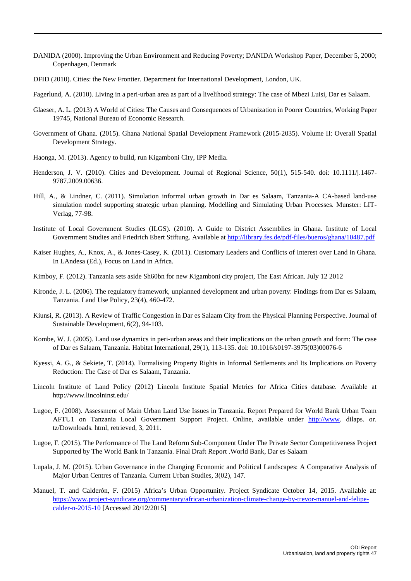- DANIDA (2000). Improving the Urban Environment and Reducing Poverty; DANIDA Workshop Paper, December 5, 2000; Copenhagen, Denmark
- DFID (2010). Cities: the New Frontier. Department for International Development, London, UK.
- Fagerlund, A. (2010). Living in a peri-urban area as part of a livelihood strategy: The case of Mbezi Luisi, Dar es Salaam.
- Glaeser, A. L. (2013) A World of Cities: The Causes and Consequences of Urbanization in Poorer Countries, Working Paper 19745, National Bureau of Economic Research.
- <span id="page-48-0"></span>Government of Ghana. (2015). Ghana National Spatial Development Framework (2015-2035). Volume II: Overall Spatial Development Strategy.
- Haonga, M. (2013). Agency to build, run Kigamboni City, IPP Media.
- Henderson, J. V. (2010). Cities and Development. Journal of Regional Science, 50(1), 515-540. doi: 10.1111/j.1467-9787.2009.00636.
- Hill, A., & Lindner, C. (2011). Simulation informal urban growth in Dar es Salaam, Tanzania-A CA-based land-use simulation model supporting strategic urban planning. Modelling and Simulating Urban Processes. Munster: LIT-Verlag, 77-98.
- Institute of Local Government Studies (ILGS). (2010). A Guide to District Assemblies in Ghana. Institute of Local Government Studies and Friedrich Ebert Stiftung. Available a[t http://library.fes.de/pdf-files/bueros/ghana/10487.pdf](http://library.fes.de/pdf-files/bueros/ghana/10487.pdf)
- <span id="page-48-1"></span>Kaiser Hughes, A., Knox, A., & Jones-Casey, K. (2011). Customary Leaders and Conflicts of Interest over Land in Ghana. In LAndesa (Ed.), Focus on Land in Africa.
- Kimboy, F. (2012). Tanzania sets aside Sh60bn for new Kigamboni city project, The East African. July 12 2012
- <span id="page-48-3"></span>Kironde, J. L. (2006). The regulatory framework, unplanned development and urban poverty: Findings from Dar es Salaam, Tanzania. Land Use Policy, 23(4), 460-472.
- <span id="page-48-7"></span>Kiunsi, R. (2013). A Review of Traffic Congestion in Dar es Salaam City from the Physical Planning Perspective. Journal of Sustainable Development, 6(2), 94-103.
- <span id="page-48-5"></span>Kombe, W. J. (2005). Land use dynamics in peri-urban areas and their implications on the urban growth and form: The case of Dar es Salaam, Tanzania. Habitat International, 29(1), 113-135. doi: 10.1016/s0197-3975(03)00076-6
- <span id="page-48-4"></span>Kyessi, A. G., & Sekiete, T. (2014). Formalising Property Rights in Informal Settlements and Its Implications on Poverty Reduction: The Case of Dar es Salaam, Tanzania.
- Lincoln Institute of Land Policy (2012) Lincoln Institute Spatial Metrics for Africa Cities database. Available at http://www.lincolninst.edu/
- <span id="page-48-6"></span>Lugoe, F. (2008). Assessment of Main Urban Land Use Issues in Tanzania. Report Prepared for World Bank Urban Team AFTU1 on Tanzania Local Government Support Project. Online, available under [http://www.](http://www/) dilaps. or. tz/Downloads. html, retrieved, 3, 2011.
- Lugoe, F. (2015). The Performance of The Land Reform Sub-Component Under The Private Sector Competitiveness Project Supported by The World Bank In Tanzania. Final Draft Report .World Bank, Dar es Salaam
- <span id="page-48-2"></span>Lupala, J. M. (2015). Urban Governance in the Changing Economic and Political Landscapes: A Comparative Analysis of Major Urban Centres of Tanzania. Current Urban Studies, 3(02), 147.
- <span id="page-48-8"></span>Manuel, T. and Calderón, F. (2015) Africa's Urban Opportunity. Project Syndicate October 14, 2015. Available at: [https://www.project-syndicate.org/commentary/african-urbanization-climate-change-by-trevor-manuel-and-felipe](https://www.project-syndicate.org/commentary/african-urbanization-climate-change-by-trevor-manuel-and-felipe-calder-n-2015-10)[calder-n-2015-10](https://www.project-syndicate.org/commentary/african-urbanization-climate-change-by-trevor-manuel-and-felipe-calder-n-2015-10) [Accessed 20/12/2015]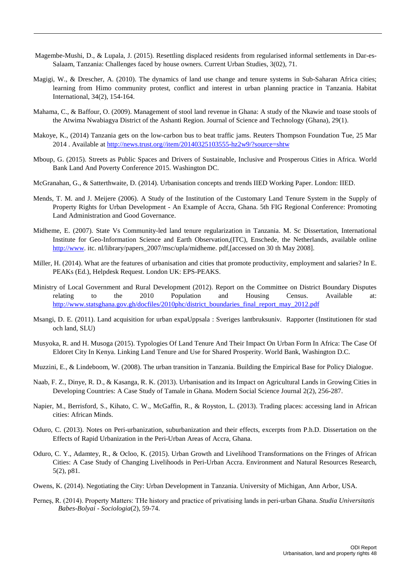- Magembe-Mushi, D., & Lupala, J. (2015). Resettling displaced residents from regularised informal settlements in Dar-es-Salaam, Tanzania: Challenges faced by house owners. Current Urban Studies, 3(02), 71.
- <span id="page-49-10"></span>Magigi, W., & Drescher, A. (2010). The dynamics of land use change and tenure systems in Sub-Saharan Africa cities; learning from Himo community protest, conflict and interest in urban planning practice in Tanzania. Habitat International, 34(2), 154-164.
- <span id="page-49-4"></span>Mahama, C., & Baffour, O. (2009). Management of stool land revenue in Ghana: A study of the Nkawie and toase stools of the Atwima Nwabiagya District of the Ashanti Region. Journal of Science and Technology (Ghana), 29(1).
- Makoye, K., (2014) Tanzania gets on the low-carbon bus to beat traffic jams. Reuters Thompson Foundation Tue, 25 Mar 2014 . Available at [http://news.trust.org//item/20140325103555-hz2w9/?source=shtw](http://news.trust.org/item/20140325103555-hz2w9/?source=shtw)
- Mboup, G. (2015). Streets as Public Spaces and Drivers of Sustainable, Inclusive and Prosperous Cities in Africa. World Bank Land And Poverty Conference 2015. Washington DC.
- <span id="page-49-2"></span>McGranahan, G., & Satterthwaite, D. (2014). Urbanisation concepts and trends IIED Working Paper. London: IIED.
- Mends, T. M. and J. Meijere (2006). A Study of the Institution of the Customary Land Tenure System in the Supply of Property Rights for Urban Development - An Example of Accra, Ghana. 5th FIG Regional Conference: Promoting Land Administration and Good Governance.
- <span id="page-49-7"></span>Midheme, E. (2007). State Vs Community-led land tenure regularization in Tanzania. M. Sc Dissertation, International Institute for Geo-Information Science and Earth Observation,(ITC), Enschede, the Netherlands, available online [http://www.](http://www/) itc. nl/library/papers\_2007/msc/upla/midheme. pdf,[accessed on 30 th May 2008].
- <span id="page-49-3"></span>Miller, H. (2014). What are the features of urbanisation and cities that promote productivity, employment and salaries? In E. PEAKs (Ed.), Helpdesk Request. London UK: EPS-PEAKS.
- Ministry of Local Government and Rural Development (2012). Report on the Committee on District Boundary Disputes relating to the 2010 Population and Housing Census. Available at: [http://www.statsghana.gov.gh/docfiles/2010phc/district\\_boundaries\\_final\\_report\\_may\\_2012.pdf](http://www.statsghana.gov.gh/docfiles/2010phc/district_boundaries_final_report_may_2012.pdf)
- <span id="page-49-9"></span>Msangi, D. E. (2011). Land acquisition for urban expaUppsala : Sveriges lantbruksuniv. Rapporter (Institutionen för stad och land, SLU)
- Musyoka, R. and H. Musoga (2015). Typologies Of Land Tenure And Their Impact On Urban Form In Africa: The Case Of Eldoret City In Kenya. Linking Land Tenure and Use for Shared Prosperity. World Bank, Washington D.C.
- <span id="page-49-8"></span>Muzzini, E., & Lindeboom, W. (2008). The urban transition in Tanzania. Building the Empirical Base for Policy Dialogue.
- <span id="page-49-0"></span>Naab, F. Z., Dinye, R. D., & Kasanga, R. K. (2013). Urbanisation and its Impact on Agricultural Lands in Growing Cities in Developing Countries: A Case Study of Tamale in Ghana. Modern Social Science Journal 2(2), 256-287.
- <span id="page-49-1"></span>Napier, M., Berrisford, S., Kihato, C. W., McGaffin, R., & Royston, L. (2013). Trading places: accessing land in African cities: African Minds.
- Oduro, C. (2013). Notes on Peri-urbanization, suburbanization and their effects, excerpts from P.h.D. Dissertation on the Effects of Rapid Urbanization in the Peri-Urban Areas of Accra, Ghana.
- <span id="page-49-5"></span>Oduro, C. Y., Adamtey, R., & Ocloo, K. (2015). Urban Growth and Livelihood Transformations on the Fringes of African Cities: A Case Study of Changing Livelihoods in Peri-Urban Accra. Environment and Natural Resources Research, 5(2), p81.
- <span id="page-49-6"></span>Owens, K. (2014). Negotiating the City: Urban Development in Tanzania. University of Michigan, Ann Arbor, USA.
- Perneş, R. (2014). Property Matters: THe history and practice of privatising lands in peri-urban Ghana. *Studia Universitatis Babes-Bolyai - Sociologia*(2), 59-74.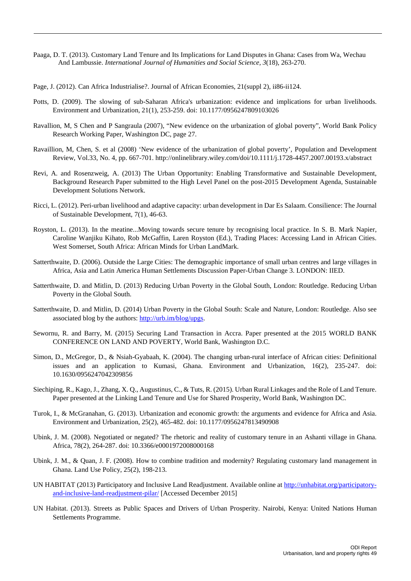- Paaga, D. T. (2013). Customary Land Tenure and Its Implications for Land Disputes in Ghana: Cases from Wa, Wechau And Lambussie. *International Journal of Humanities and Social Science, 3*(18), 263-270.
- Page, J. (2012). Can Africa Industrialise?. Journal of African Economies, 21(suppl 2), ii86-ii124.
- Potts, D. (2009). The slowing of sub-Saharan Africa's urbanization: evidence and implications for urban livelihoods. Environment and Urbanization, 21(1), 253-259. doi: 10.1177/0956247809103026
- Ravallion, M, S Chen and P Sangraula (2007), "New evidence on the urbanization of global poverty", World Bank Policy Research Working Paper, Washington DC, page 27.
- Ravaillion, M, Chen, S. et al (2008) 'New evidence of the urbanization of global poverty', Population and Development Review, Vol.33, No. 4, pp. 667-701. http://onlinelibrary.wiley.com/doi/10.1111/j.1728-4457.2007.00193.x/abstract
- Revi, A. and Rosenzweig, A. (2013) The Urban Opportunity: Enabling Transformative and Sustainable Development, Background Research Paper submitted to the High Level Panel on the post-2015 Development Agenda, Sustainable Development Solutions Network.
- <span id="page-50-4"></span>Ricci, L. (2012). Peri-urban livelihood and adaptive capacity: urban development in Dar Es Salaam. Consilience: The Journal of Sustainable Development, 7(1), 46-63.
- Royston, L. (2013). In the meatine...Moving towards secure tenure by recognising local practice. In S. B. Mark Napier, Caroline Wanjiku Kihato, Rob McGaffin, Laren Royston (Ed.), Trading Places: Accessing Land in African Cities. West Somerset, South Africa: African Minds for Urban LandMark.
- <span id="page-50-1"></span>Satterthwaite, D. (2006). Outside the Large Cities: The demographic importance of small urban centres and large villages in Africa, Asia and Latin America Human Settlements Discussion Paper-Urban Change 3. LONDON: IIED.
- Satterthwaite, D. and Mitlin, D. (2013) Reducing Urban Poverty in the Global South, London: Routledge. Reducing Urban Poverty in the Global South.
- Satterthwaite, D. and Mitlin, D. (2014) Urban Poverty in the Global South: Scale and Nature, London: Routledge. Also see associated blog by the authors: [http://urb.im/blog/upgs.](http://urb.im/blog/upgs)
- Sewornu, R. and Barry, M. (2015) Securing Land Transaction in Accra. Paper presented at the 2015 WORLD BANK CONFERENCE ON LAND AND POVERTY, World Bank, Washington D.C.
- <span id="page-50-0"></span>Simon, D., McGregor, D., & Nsiah-Gyabaah, K. (2004). The changing urban-rural interface of African cities: Definitional issues and an application to Kumasi, Ghana. Environment and Urbanization, 16(2), 235-247. doi: 10.1630/0956247042309856
- Siechiping, R., Kago, J., Zhang, X. Q., Augustinus, C., & Tuts, R. (2015). Urban Rural Linkages and the Role of Land Tenure. Paper presented at the Linking Land Tenure and Use for Shared Prosperity, World Bank, Washington DC.
- Turok, I., & McGranahan, G. (2013). Urbanization and economic growth: the arguments and evidence for Africa and Asia. Environment and Urbanization, 25(2), 465-482. doi: 10.1177/0956247813490908
- <span id="page-50-2"></span>Ubink, J. M. (2008). Negotiated or negated? The rhetoric and reality of customary tenure in an Ashanti village in Ghana. Africa, 78(2), 264-287. doi: 10.3366/e0001972008000168
- Ubink, J. M., & Quan, J. F. (2008). How to combine tradition and modernity? Regulating customary land management in Ghana. Land Use Policy, 25(2), 198-213.
- UN HABITAT (2013) Participatory and Inclusive Land Readjustment. Available online a[t http://unhabitat.org/participatory](http://unhabitat.org/participatory-and-inclusive-land-readjustment-pilar/)[and-inclusive-land-readjustment-pilar/](http://unhabitat.org/participatory-and-inclusive-land-readjustment-pilar/) [Accessed December 2015]
- <span id="page-50-3"></span>UN Habitat. (2013). Streets as Public Spaces and Drivers of Urban Prosperity. Nairobi, Kenya: United Nations Human Settlements Programme.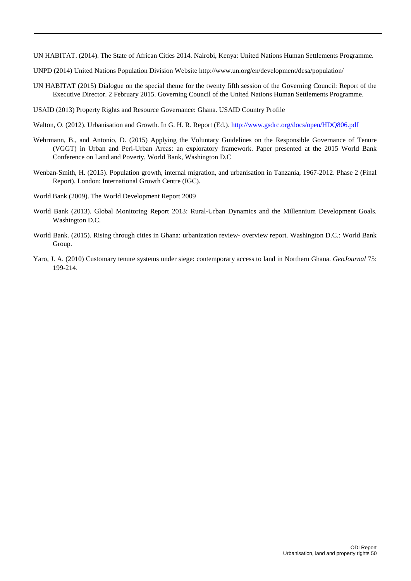<span id="page-51-2"></span><span id="page-51-0"></span>UN HABITAT. (2014). The State of African Cities 2014. Nairobi, Kenya: United Nations Human Settlements Programme.

- UNPD (2014) United Nations Population Division Website http://www.un.org/en/development/desa/population/
- UN HABITAT (2015) Dialogue on the special theme for the twenty fifth session of the Governing Council: Report of the Executive Director. 2 February 2015. Governing Council of the United Nations Human Settlements Programme.
- USAID (2013) Property Rights and Resource Governance: Ghana. USAID Country Profile
- <span id="page-51-1"></span>Walton, O. (2012). Urbanisation and Growth. In G. H. R. Report (Ed.).<http://www.gsdrc.org/docs/open/HDQ806.pdf>
- Wehrmann, B., and Antonio, D. (2015) Applying the Voluntary Guidelines on the Responsible Governance of Tenure (VGGT) in Urban and Peri-Urban Areas: an exploratory framework. Paper presented at the 2015 World Bank Conference on Land and Poverty, World Bank, Washington D.C
- Wenban-Smith, H. (2015). Population growth, internal migration, and urbanisation in Tanzania, 1967-2012. Phase 2 (Final Report). London: International Growth Centre (IGC).
- World Bank (2009). The World Development Report 2009
- World Bank (2013). Global Monitoring Report 2013: Rural-Urban Dynamics and the Millennium Development Goals. Washington D.C.
- World Bank. (2015). Rising through cities in Ghana: urbanization review- overview report. Washington D.C.: World Bank Group.
- Yaro, J. A. (2010) Customary tenure systems under siege: contemporary access to land in Northern Ghana. *GeoJournal* 75: 199-214.